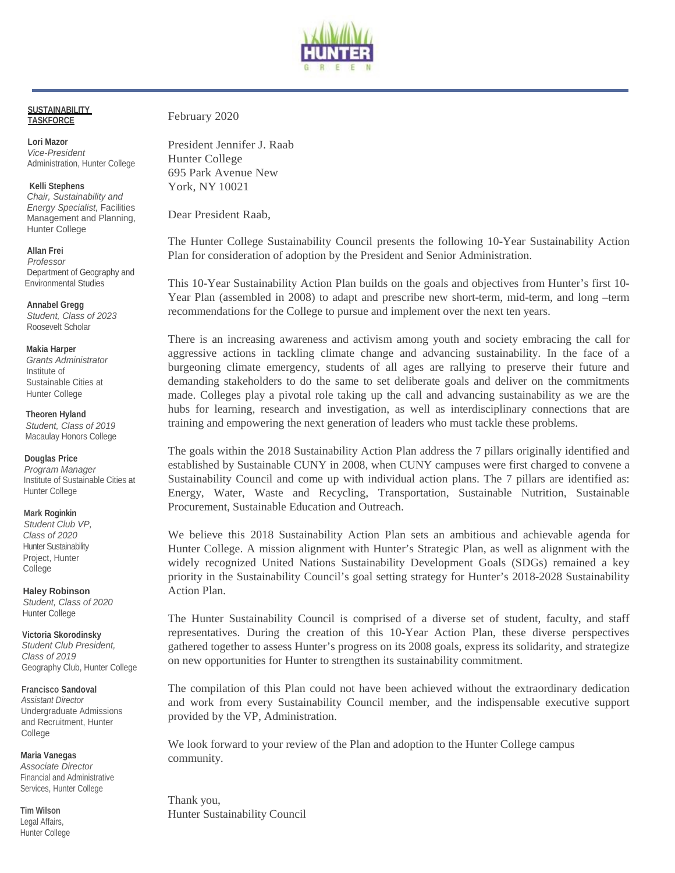

#### **SUSTAINABILITY TASKFORCE**

 *Vice-President* **Lori Mazor**  Administration, Hunter College

 *Energy Specialist,* Facilities **Kelli Stephens**  *Chair, Sustainability and*  Management and Planning, Hunter College

 **Allan Frei**   *Professor*  Department of Geography and Environmental Studies

**Annabel Gregg**  *Student, Class of 2023*  Roosevelt Scholar

#### **Makia Harper**

*Grants Administrator*  Institute of Sustainable Cities at Hunter College

 *Student, Class of 2019*  **Theoren Hyland**  Macaulay Honors College

**Douglas Price**  *Program Manager*  Institute of Sustainable Cities at Hunter College

**Mark Roginkin** 

 *Class of 2020 Student Club VP,*  Hunter Sustainability Project, Hunter College

 *Student, Class of 2020*  **Haley Robinson**  Hunter College

 *Class of 2019*  **Victoria Skorodinsky**  *Student Club President,*  Geography Club, Hunter College

**Francisco Sandoval**  *Assistant Director*  Undergraduate Admissions and Recruitment, Hunter College

**Maria Vanegas** 

*Associate Director*  Financial and Administrative Services, Hunter College

**Tim Wilson**  Legal Affairs, Hunter College February 2020

President Jennifer J. Raab Hunter College 695 Park Avenue New York, NY 10021

Dear President Raab,

The Hunter College Sustainability Council presents the following 10-Year Sustainability Action Plan for consideration of adoption by the President and Senior Administration.

 This 10-Year Sustainability Action Plan builds on the goals and objectives from Hunter's first 10- Year Plan (assembled in 2008) to adapt and prescribe new short-term, mid-term, and long –term recommendations for the College to pursue and implement over the next ten years.

 aggressive actions in tackling climate change and advancing sustainability. In the face of a There is an increasing awareness and activism among youth and society embracing the call for burgeoning climate emergency, students of all ages are rallying to preserve their future and demanding stakeholders to do the same to set deliberate goals and deliver on the commitments made. Colleges play a pivotal role taking up the call and advancing sustainability as we are the hubs for learning, research and investigation, as well as interdisciplinary connections that are training and empowering the next generation of leaders who must tackle these problems.

The goals within the 2018 Sustainability Action Plan address the 7 pillars originally identified and established by Sustainable CUNY in 2008, when CUNY campuses were first charged to convene a Sustainability Council and come up with individual action plans. The 7 pillars are identified as: Energy, Water, Waste and Recycling, Transportation, Sustainable Nutrition, Sustainable Procurement, Sustainable Education and Outreach.

 Hunter College. A mission alignment with Hunter's Strategic Plan, as well as alignment with the We believe this 2018 Sustainability Action Plan sets an ambitious and achievable agenda for widely recognized United Nations Sustainability Development Goals (SDGs) remained a key priority in the Sustainability Council's goal setting strategy for Hunter's 2018-2028 Sustainability Action Plan.

The Hunter Sustainability Council is comprised of a diverse set of student, faculty, and staff representatives. During the creation of this 10-Year Action Plan, these diverse perspectives gathered together to assess Hunter's progress on its 2008 goals, express its solidarity, and strategize on new opportunities for Hunter to strengthen its sustainability commitment.

The compilation of this Plan could not have been achieved without the extraordinary dedication and work from every Sustainability Council member, and the indispensable executive support provided by the VP, Administration.

 We look forward to your review of the Plan and adoption to the Hunter College campus community.

Thank you, Hunter Sustainability Council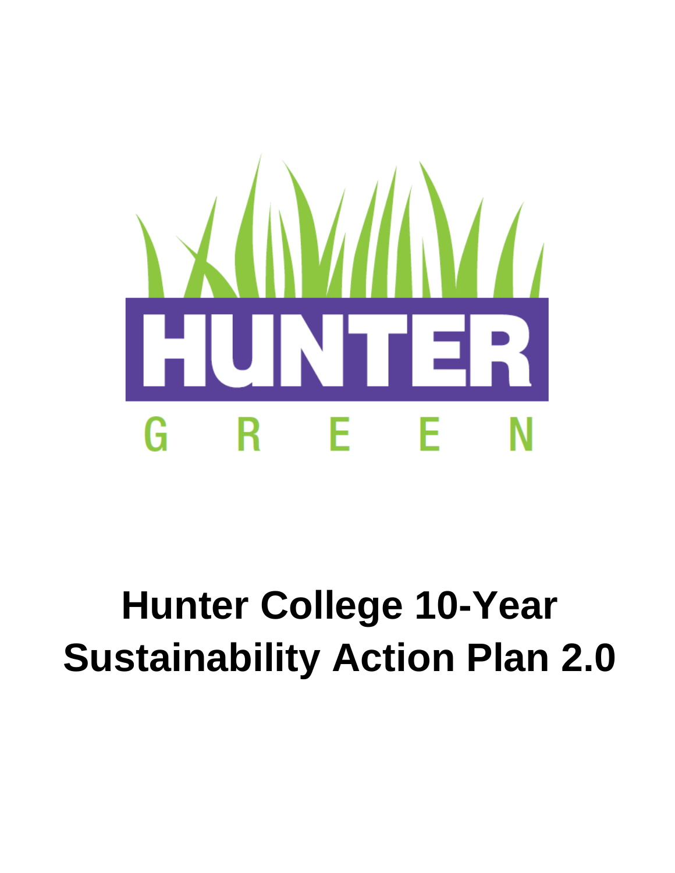

# **Hunter College 10-Year Sustainability Action Plan 2.0**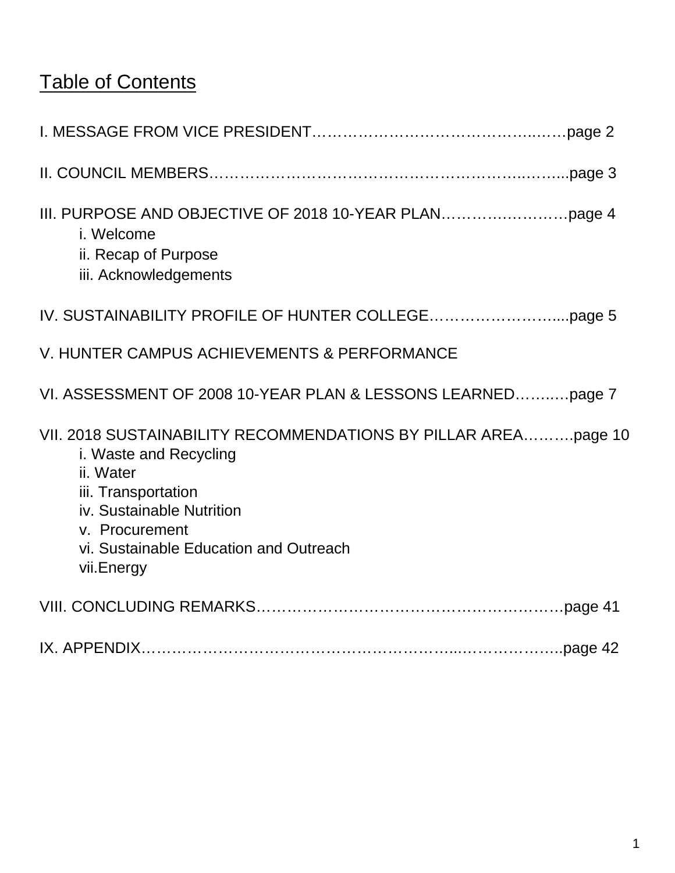# Table of Contents

| i. Welcome<br>ii. Recap of Purpose<br>iii. Acknowledgements                                                                                                                                                                         |
|-------------------------------------------------------------------------------------------------------------------------------------------------------------------------------------------------------------------------------------|
|                                                                                                                                                                                                                                     |
| V. HUNTER CAMPUS ACHIEVEMENTS & PERFORMANCE                                                                                                                                                                                         |
| VI. ASSESSMENT OF 2008 10-YEAR PLAN & LESSONS LEARNEDpage 7                                                                                                                                                                         |
| VII. 2018 SUSTAINABILITY RECOMMENDATIONS BY PILLAR AREApage 10<br>i. Waste and Recycling<br>ii. Water<br>iii. Transportation<br>iv. Sustainable Nutrition<br>v. Procurement<br>vi. Sustainable Education and Outreach<br>vii.Energy |
|                                                                                                                                                                                                                                     |
|                                                                                                                                                                                                                                     |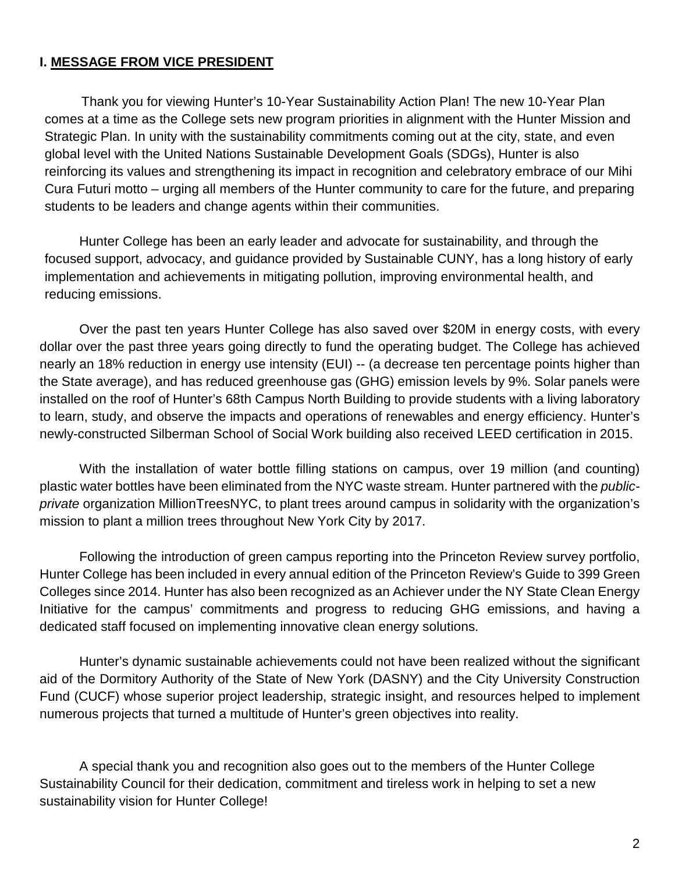## **I. MESSAGE FROM VICE PRESIDENT**

 reinforcing its values and strengthening its impact in recognition and celebratory embrace of our Mihi Cura Futuri motto – urging all members of the Hunter community to care for the future, and preparing Thank you for viewing Hunter's 10-Year Sustainability Action Plan! The new 10-Year Plan comes at a time as the College sets new program priorities in alignment with the Hunter Mission and Strategic Plan. In unity with the sustainability commitments coming out at the city, state, and even global level with the United Nations Sustainable Development Goals (SDGs), Hunter is also students to be leaders and change agents within their communities.

Hunter College has been an early leader and advocate for sustainability, and through the focused support, advocacy, and guidance provided by Sustainable CUNY, has a long history of early implementation and achievements in mitigating pollution, improving environmental health, and reducing emissions.

 nearly an 18% reduction in energy use intensity (EUI) -- (a decrease ten percentage points higher than newly-constructed Silberman School of Social Work building also received LEED certification in 2015. Over the past ten years Hunter College has also saved over \$20M in energy costs, with every dollar over the past three years going directly to fund the operating budget. The College has achieved the State average), and has reduced greenhouse gas (GHG) emission levels by 9%. Solar panels were installed on the roof of Hunter's 68th Campus North Building to provide students with a living laboratory to learn, study, and observe the impacts and operations of renewables and energy efficiency. Hunter's

 *private* organization MillionTreesNYC, to plant trees around campus in solidarity with the organization's With the installation of water bottle filling stations on campus, over 19 million (and counting) plastic water bottles have been eliminated from the NYC waste stream. Hunter partnered with the *public*mission to plant a million trees throughout New York City by 2017.

Following the introduction of green campus reporting into the Princeton Review survey portfolio, Hunter College has been included in every annual edition of the Princeton Review's Guide to 399 Green Colleges since 2014. Hunter has also been recognized as an Achiever under the NY State Clean Energy Initiative for the campus' commitments and progress to reducing GHG emissions, and having a dedicated staff focused on implementing innovative clean energy solutions.

 Fund (CUCF) whose superior project leadership, strategic insight, and resources helped to implement Hunter's dynamic sustainable achievements could not have been realized without the significant aid of the Dormitory Authority of the State of New York (DASNY) and the City University Construction numerous projects that turned a multitude of Hunter's green objectives into reality.

sustainability vision for Hunter College! A special thank you and recognition also goes out to the members of the Hunter College Sustainability Council for their dedication, commitment and tireless work in helping to set a new sustainability vision for Hunter College!<br>
2<br>
2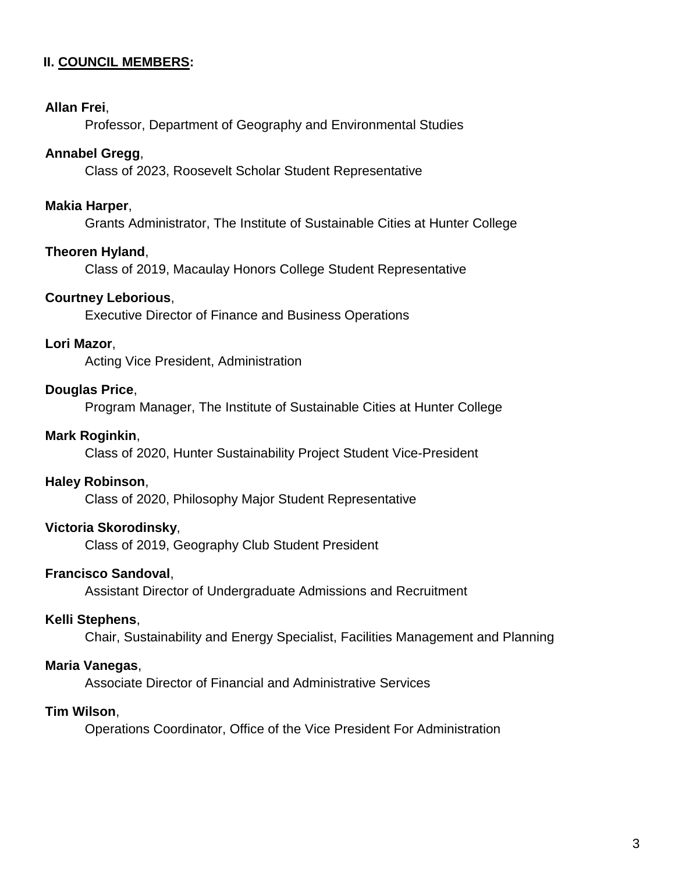## **II. COUNCIL MEMBERS:**

#### **Allan Frei**,

Professor, Department of Geography and Environmental Studies

## **Annabel Gregg**,

Class of 2023, Roosevelt Scholar Student Representative

## **Makia Harper**,

Grants Administrator, The Institute of Sustainable Cities at Hunter College

## **Theoren Hyland**,

Class of 2019, Macaulay Honors College Student Representative

## **Courtney Leborious**,

Executive Director of Finance and Business Operations

#### **Lori Mazor**,

Acting Vice President, Administration

## **Douglas Price**,

Program Manager, The Institute of Sustainable Cities at Hunter College

#### **Mark Roginkin**,

Class of 2020, Hunter Sustainability Project Student Vice-President

#### **Haley Robinson**,

Class of 2020, Philosophy Major Student Representative

## **Victoria Skorodinsky**,

Class of 2019, Geography Club Student President

#### **Francisco Sandoval**,

Assistant Director of Undergraduate Admissions and Recruitment

#### **Kelli Stephens**,

Chair, Sustainability and Energy Specialist, Facilities Management and Planning

#### **Maria Vanegas**,

Associate Director of Financial and Administrative Services

#### **Tim Wilson**,

Operations Coordinator, Office of the Vice President For Administration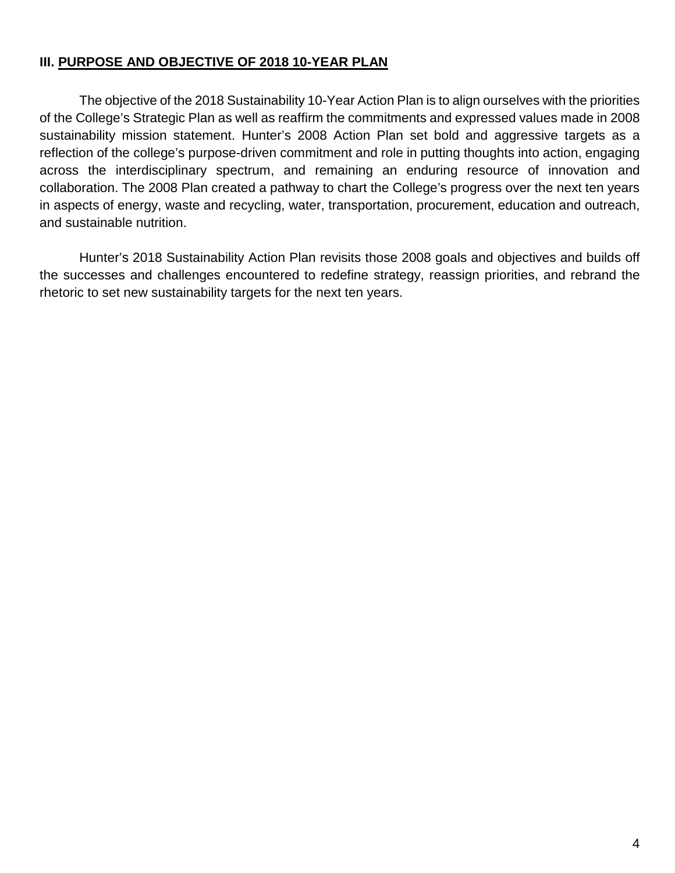## **III. PURPOSE AND OBJECTIVE OF 2018 10-YEAR PLAN**

The objective of the 2018 Sustainability 10-Year Action Plan is to align ourselves with the priorities of the College's Strategic Plan as well as reaffirm the commitments and expressed values made in 2008 sustainability mission statement. Hunter's 2008 Action Plan set bold and aggressive targets as a reflection of the college's purpose-driven commitment and role in putting thoughts into action, engaging across the interdisciplinary spectrum, and remaining an enduring resource of innovation and collaboration. The 2008 Plan created a pathway to chart the College's progress over the next ten years in aspects of energy, waste and recycling, water, transportation, procurement, education and outreach, and sustainable nutrition.

Hunter's 2018 Sustainability Action Plan revisits those 2008 goals and objectives and builds off the successes and challenges encountered to redefine strategy, reassign priorities, and rebrand the rhetoric to set new sustainability targets for the next ten years.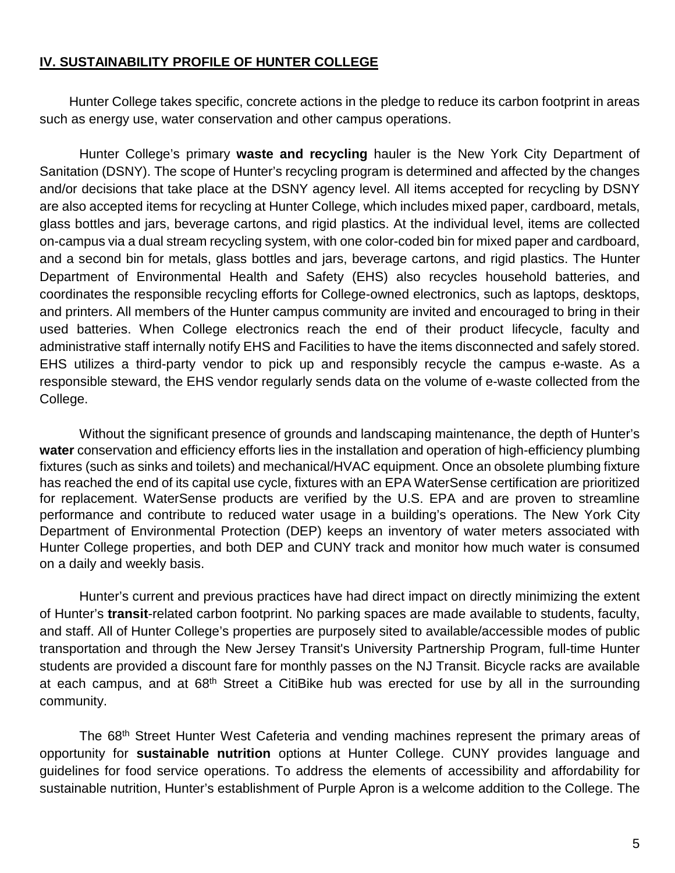## **IV. SUSTAINABILITY PROFILE OF HUNTER COLLEGE**

Hunter College takes specific, concrete actions in the pledge to reduce its carbon footprint in areas such as energy use, water conservation and other campus operations.

 Hunter College's primary **waste and recycling** hauler is the New York City Department of and/or decisions that take place at the DSNY agency level. All items accepted for recycling by DSNY are also accepted items for recycling at Hunter College, which includes mixed paper, cardboard, metals, glass bottles and jars, beverage cartons, and rigid plastics. At the individual level, items are collected Sanitation (DSNY). The scope of Hunter's recycling program is determined and affected by the changes on-campus via a dual stream recycling system, with one color-coded bin for mixed paper and cardboard, and a second bin for metals, glass bottles and jars, beverage cartons, and rigid plastics. The Hunter Department of Environmental Health and Safety (EHS) also recycles household batteries, and coordinates the responsible recycling efforts for College-owned electronics, such as laptops, desktops, and printers. All members of the Hunter campus community are invited and encouraged to bring in their used batteries. When College electronics reach the end of their product lifecycle, faculty and administrative staff internally notify EHS and Facilities to have the items disconnected and safely stored. EHS utilizes a third-party vendor to pick up and responsibly recycle the campus e-waste. As a responsible steward, the EHS vendor regularly sends data on the volume of e-waste collected from the College.

 fixtures (such as sinks and toilets) and mechanical/HVAC equipment. Once an obsolete plumbing fixture performance and contribute to reduced water usage in a building's operations. The New York City Without the significant presence of grounds and landscaping maintenance, the depth of Hunter's **water** conservation and efficiency efforts lies in the installation and operation of high-efficiency plumbing has reached the end of its capital use cycle, fixtures with an EPA WaterSense certification are prioritized for replacement. WaterSense products are verified by the U.S. EPA and are proven to streamline Department of Environmental Protection (DEP) keeps an inventory of water meters associated with Hunter College properties, and both DEP and CUNY track and monitor how much water is consumed on a daily and weekly basis.

 of Hunter's **transit**-related carbon footprint. No parking spaces are made available to students, faculty, and staff. All of Hunter College's properties are purposely sited to available/accessible modes of public students are provided a discount fare for monthly passes on the NJ Transit. Bicycle racks are available at each campus, and at 68<sup>th</sup> Street a CitiBike hub was erected for use by all in the surrounding Hunter's current and previous practices have had direct impact on directly minimizing the extent transportation and through the New Jersey Transit's University Partnership Program, full-time Hunter community.

 guidelines for food service operations. To address the elements of accessibility and affordability for The 68<sup>th</sup> Street Hunter West Cafeteria and vending machines represent the primary areas of opportunity for **sustainable nutrition** options at Hunter College. CUNY provides language and sustainable nutrition, Hunter's establishment of Purple Apron is a welcome addition to the College. The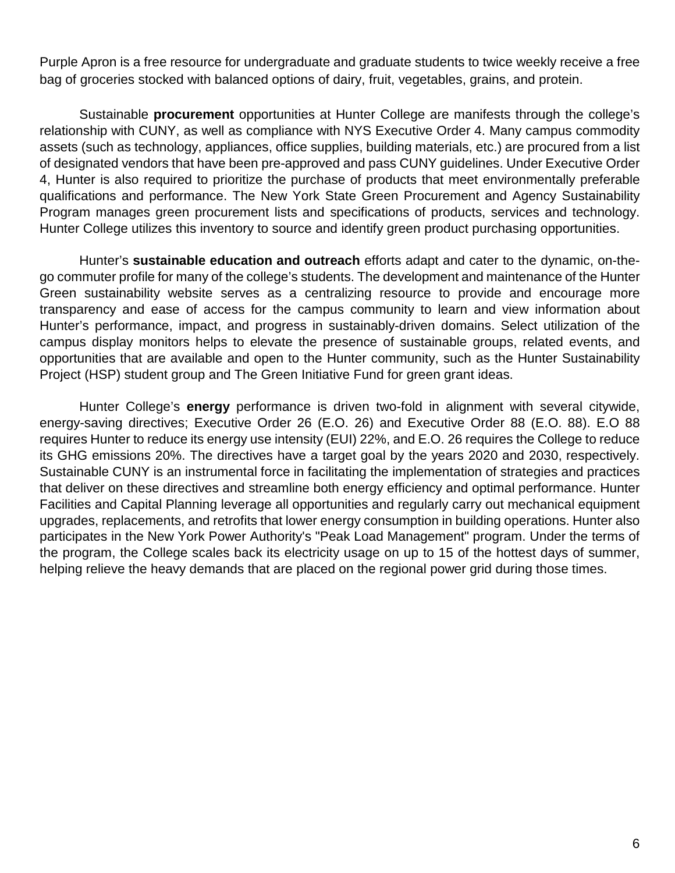Purple Apron is a free resource for undergraduate and graduate students to twice weekly receive a free bag of groceries stocked with balanced options of dairy, fruit, vegetables, grains, and protein.

 assets (such as technology, appliances, office supplies, building materials, etc.) are procured from a list Program manages green procurement lists and specifications of products, services and technology. Sustainable **procurement** opportunities at Hunter College are manifests through the college's relationship with CUNY, as well as compliance with NYS Executive Order 4. Many campus commodity of designated vendors that have been pre-approved and pass CUNY guidelines. Under Executive Order 4, Hunter is also required to prioritize the purchase of products that meet environmentally preferable qualifications and performance. The New York State Green Procurement and Agency Sustainability Hunter College utilizes this inventory to source and identify green product purchasing opportunities.

 Hunter's performance, impact, and progress in sustainably-driven domains. Select utilization of the opportunities that are available and open to the Hunter community, such as the Hunter Sustainability Hunter's **sustainable education and outreach** efforts adapt and cater to the dynamic, on-thego commuter profile for many of the college's students. The development and maintenance of the Hunter Green sustainability website serves as a centralizing resource to provide and encourage more transparency and ease of access for the campus community to learn and view information about campus display monitors helps to elevate the presence of sustainable groups, related events, and Project (HSP) student group and The Green Initiative Fund for green grant ideas.

 energy-saving directives; Executive Order 26 (E.O. 26) and Executive Order 88 (E.O. 88). E.O 88 helping relieve the heavy demands that are placed on the regional power grid during those times. Hunter College's **energy** performance is driven two-fold in alignment with several citywide, requires Hunter to reduce its energy use intensity (EUI) 22%, and E.O. 26 requires the College to reduce its GHG emissions 20%. The directives have a target goal by the years 2020 and 2030, respectively. Sustainable CUNY is an instrumental force in facilitating the implementation of strategies and practices that deliver on these directives and streamline both energy efficiency and optimal performance. Hunter Facilities and Capital Planning leverage all opportunities and regularly carry out mechanical equipment upgrades, replacements, and retrofits that lower energy consumption in building operations. Hunter also participates in the New York Power Authority's "Peak Load Management" program. Under the terms of the program, the College scales back its electricity usage on up to 15 of the hottest days of summer,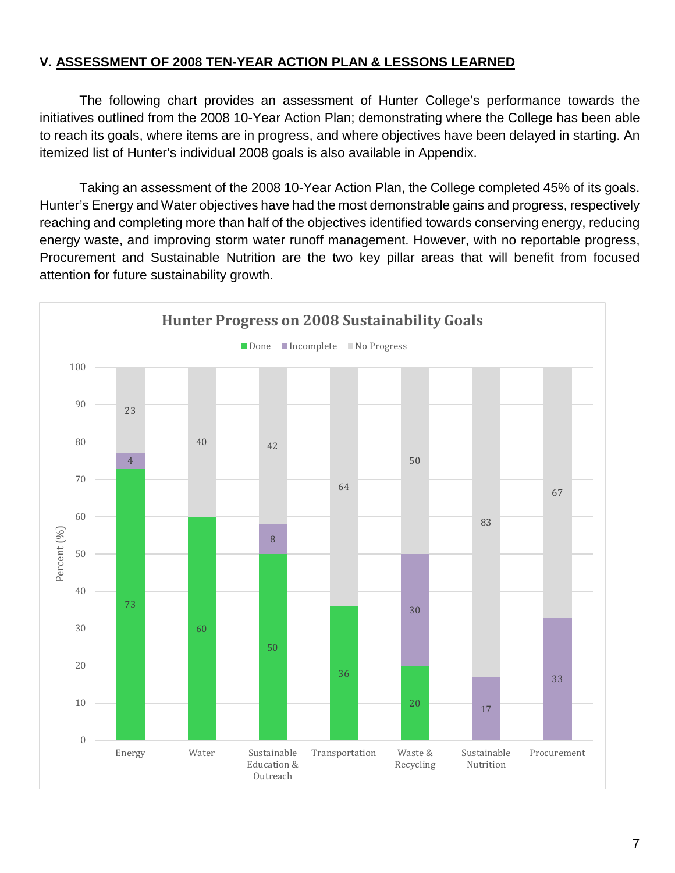## **V. ASSESSMENT OF 2008 TEN-YEAR ACTION PLAN & LESSONS LEARNED**

 The following chart provides an assessment of Hunter College's performance towards the initiatives outlined from the 2008 10-Year Action Plan; demonstrating where the College has been able to reach its goals, where items are in progress, and where objectives have been delayed in starting. An itemized list of Hunter's individual 2008 goals is also available in Appendix.

 energy waste, and improving storm water runoff management. However, with no reportable progress, attention for future sustainability growth. Taking an assessment of the 2008 10-Year Action Plan, the College completed 45% of its goals. Hunter's Energy and Water objectives have had the most demonstrable gains and progress, respectively reaching and completing more than half of the objectives identified towards conserving energy, reducing Procurement and Sustainable Nutrition are the two key pillar areas that will benefit from focused

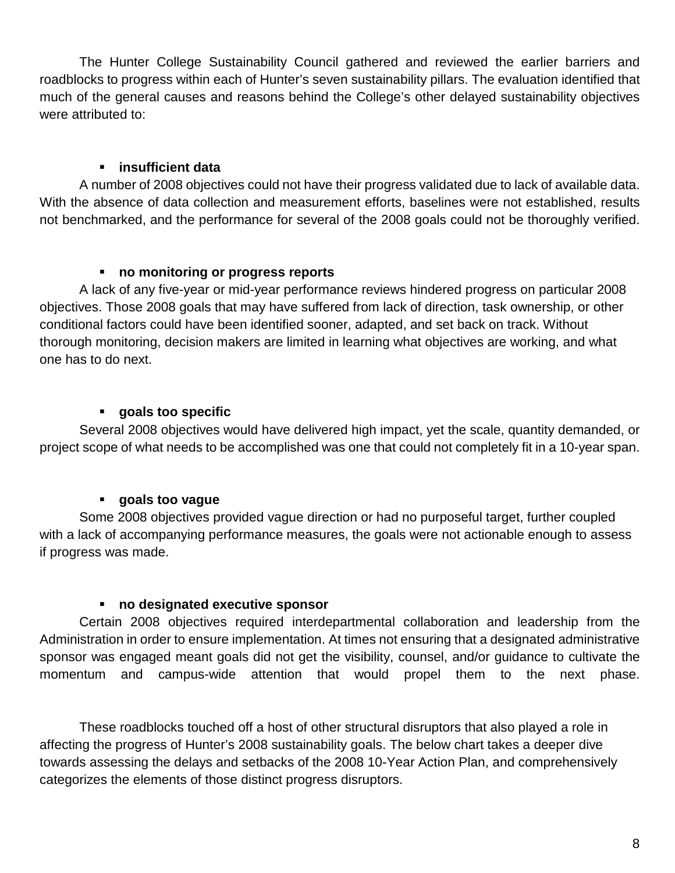The Hunter College Sustainability Council gathered and reviewed the earlier barriers and roadblocks to progress within each of Hunter's seven sustainability pillars. The evaluation identified that much of the general causes and reasons behind the College's other delayed sustainability objectives were attributed to:

## **insufficient data**

A number of 2008 objectives could not have their progress validated due to lack of available data. With the absence of data collection and measurement efforts, baselines were not established, results not benchmarked, and the performance for several of the 2008 goals could not be thoroughly verified.

## **no monitoring or progress reports**

 objectives. Those 2008 goals that may have suffered from lack of direction, task ownership, or other A lack of any five-year or mid-year performance reviews hindered progress on particular 2008 conditional factors could have been identified sooner, adapted, and set back on track. Without thorough monitoring, decision makers are limited in learning what objectives are working, and what one has to do next.

## **goals too specific**

Several 2008 objectives would have delivered high impact, yet the scale, quantity demanded, or project scope of what needs to be accomplished was one that could not completely fit in a 10-year span.

## **goals too vague**

Some 2008 objectives provided vague direction or had no purposeful target, further coupled with a lack of accompanying performance measures, the goals were not actionable enough to assess if progress was made.

## **no designated executive sponsor**

 Administration in order to ensure implementation. At times not ensuring that a designated administrative Certain 2008 objectives required interdepartmental collaboration and leadership from the sponsor was engaged meant goals did not get the visibility, counsel, and/or guidance to cultivate the momentum and campus-wide attention that would propel them to the next phase.

 These roadblocks touched off a host of other structural disruptors that also played a role in towards assessing the delays and setbacks of the 2008 10-Year Action Plan, and comprehensively affecting the progress of Hunter's 2008 sustainability goals. The below chart takes a deeper dive categorizes the elements of those distinct progress disruptors.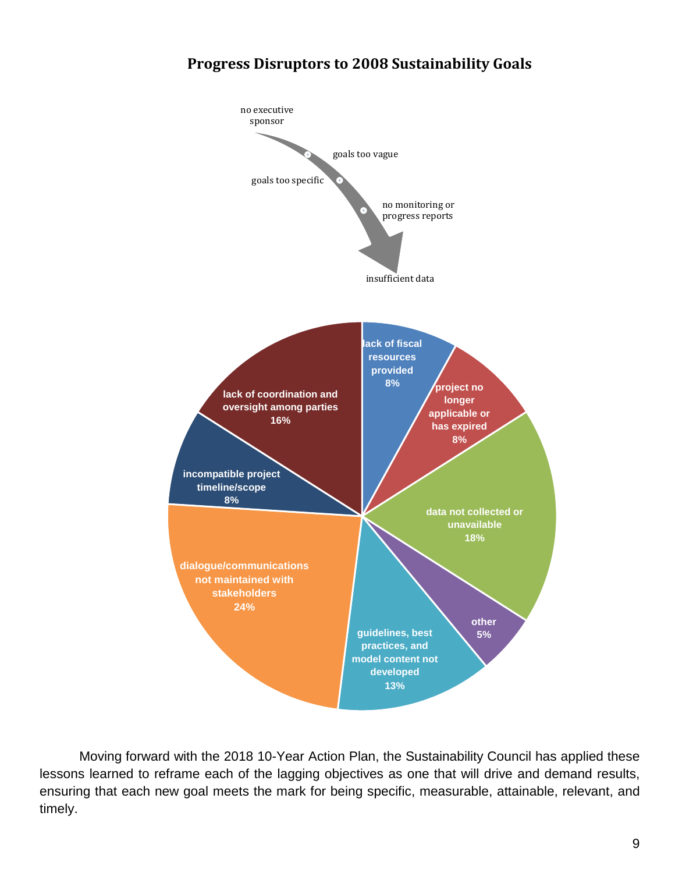## **Progress Disruptors to 2008 Sustainability Goals**



 lessons learned to reframe each of the lagging objectives as one that will drive and demand results, Moving forward with the 2018 10-Year Action Plan, the Sustainability Council has applied these ensuring that each new goal meets the mark for being specific, measurable, attainable, relevant, and timely.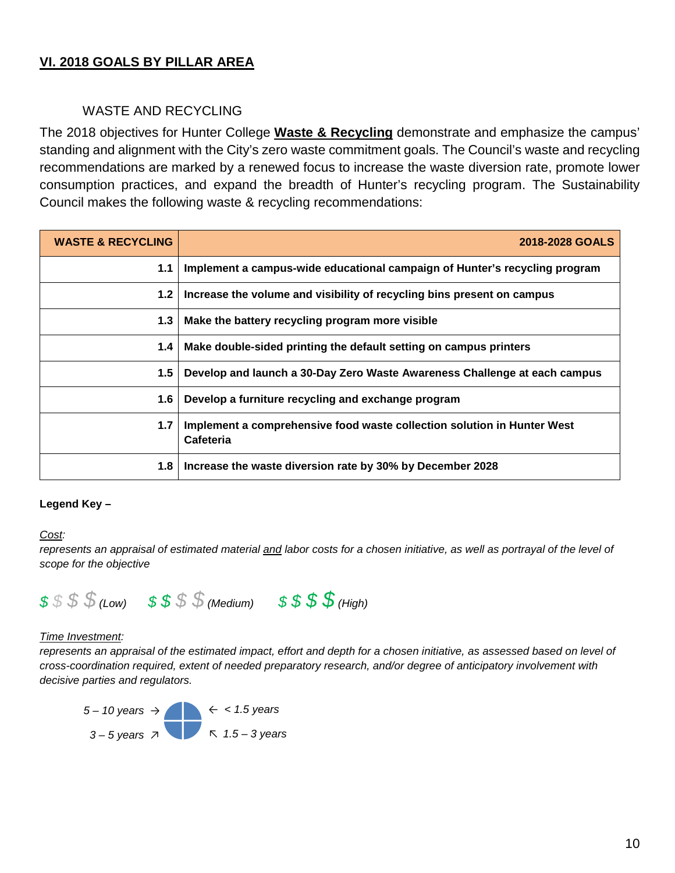## **VI. 2018 GOALS BY PILLAR AREA**

## WASTE AND RECYCLING

 Council makes the following waste & recycling recommendations: The 2018 objectives for Hunter College **Waste & Recycling** demonstrate and emphasize the campus' standing and alignment with the City's zero waste commitment goals. The Council's waste and recycling recommendations are marked by a renewed focus to increase the waste diversion rate, promote lower consumption practices, and expand the breadth of Hunter's recycling program. The Sustainability

| <b>WASTE &amp; RECYCLING</b> | 2018-2028 GOALS                                                                      |
|------------------------------|--------------------------------------------------------------------------------------|
| 1.1                          | Implement a campus-wide educational campaign of Hunter's recycling program           |
| 1.2                          | Increase the volume and visibility of recycling bins present on campus               |
| 1.3                          | Make the battery recycling program more visible                                      |
| 1.4                          | Make double-sided printing the default setting on campus printers                    |
| 1.5                          | Develop and launch a 30-Day Zero Waste Awareness Challenge at each campus            |
| 1.6                          | Develop a furniture recycling and exchange program                                   |
| 1.7                          | Implement a comprehensive food waste collection solution in Hunter West<br>Cafeteria |
| 1.8                          | Increase the waste diversion rate by 30% by December 2028                            |

#### **Legend Key –**

#### Cost:

Cost:<br>represents an appraisal of estimated material <u>and</u> labor costs for a chosen initiative, as well as portrayal of the level of *scope for the objective* 



#### **Time Investment:**

 *cross-coordination required, extent of needed preparatory research, and/or degree of anticipatory involvement with*  represents an appraisal of the estimated impact, effort and depth for a chosen initiative, as assessed based on level of *decisive parties and regulators.* 

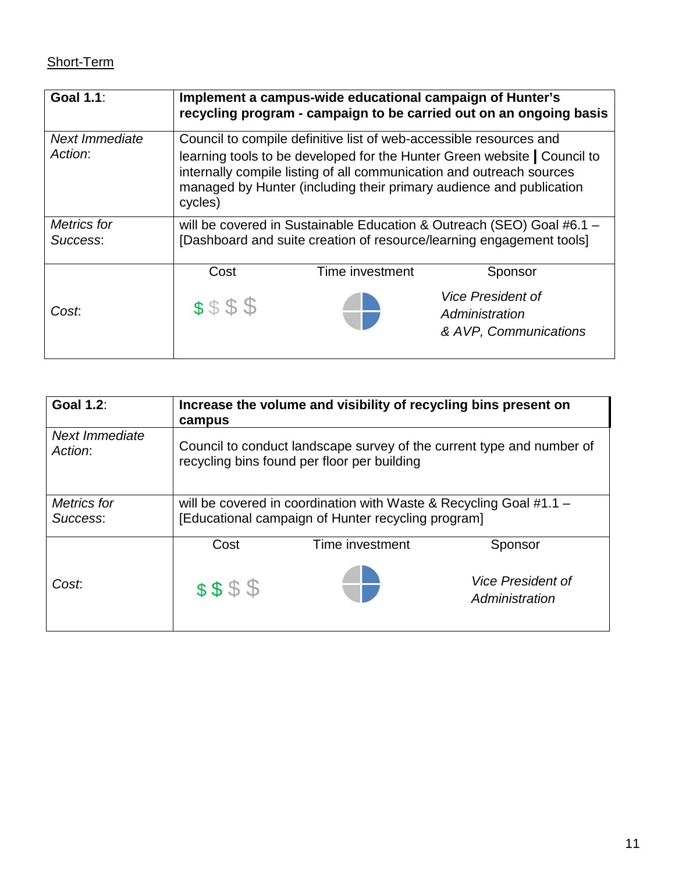# Short-Term

| <b>Goal 1.1:</b>          | Implement a campus-wide educational campaign of Hunter's<br>recycling program - campaign to be carried out on an ongoing basis                                                                                                                                                                           |  |                                                                     |  |
|---------------------------|----------------------------------------------------------------------------------------------------------------------------------------------------------------------------------------------------------------------------------------------------------------------------------------------------------|--|---------------------------------------------------------------------|--|
| Next Immediate<br>Action: | Council to compile definitive list of web-accessible resources and<br>learning tools to be developed for the Hunter Green website   Council to<br>internally compile listing of all communication and outreach sources<br>managed by Hunter (including their primary audience and publication<br>cycles) |  |                                                                     |  |
| Metrics for<br>Success:   | will be covered in Sustainable Education & Outreach (SEO) Goal #6.1 -<br>[Dashboard and suite creation of resource/learning engagement tools]                                                                                                                                                            |  |                                                                     |  |
|                           | Cost<br>Time investment<br>Sponsor                                                                                                                                                                                                                                                                       |  |                                                                     |  |
| Cost.                     | \$\$\$\$                                                                                                                                                                                                                                                                                                 |  | <b>Vice President of</b><br>Administration<br>& AVP, Communications |  |

| <b>Goal 1.2:</b>               | Increase the volume and visibility of recycling bins present on<br>campus                                                  |                 |                                            |
|--------------------------------|----------------------------------------------------------------------------------------------------------------------------|-----------------|--------------------------------------------|
| Next Immediate<br>Action:      | Council to conduct landscape survey of the current type and number of<br>recycling bins found per floor per building       |                 |                                            |
| <b>Metrics</b> for<br>Success: | will be covered in coordination with Waste & Recycling Goal $#1.1 -$<br>[Educational campaign of Hunter recycling program] |                 |                                            |
|                                | Cost                                                                                                                       | Time investment | Sponsor                                    |
| Cost:                          | \$\$\$\$                                                                                                                   |                 | <b>Vice President of</b><br>Administration |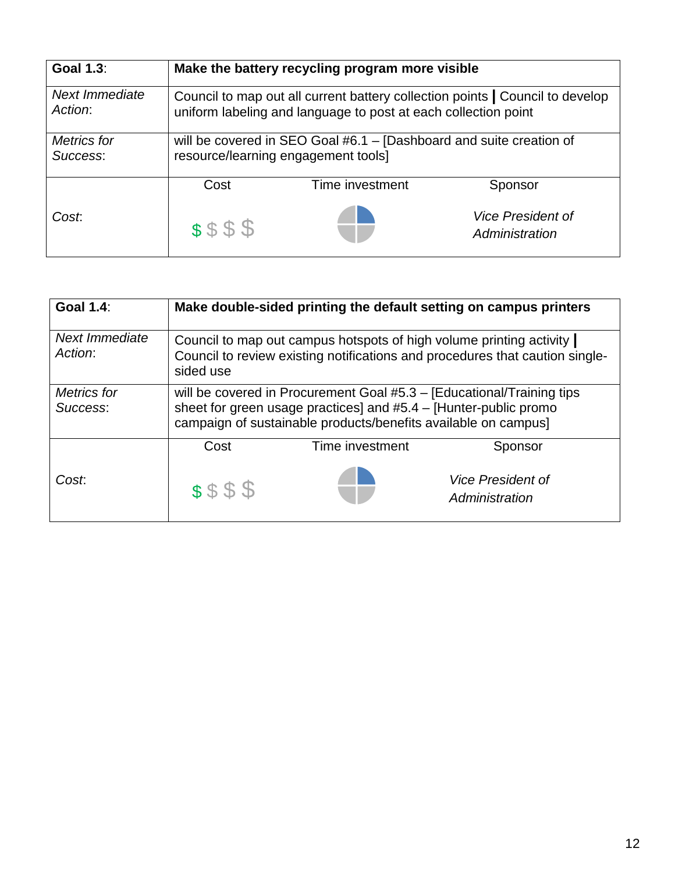| <b>Goal 1.3:</b>          | Make the battery recycling program more visible                                                                                                 |  |                                            |  |
|---------------------------|-------------------------------------------------------------------------------------------------------------------------------------------------|--|--------------------------------------------|--|
| Next Immediate<br>Action: | Council to map out all current battery collection points   Council to develop<br>uniform labeling and language to post at each collection point |  |                                            |  |
| Metrics for<br>Success:   | will be covered in SEO Goal #6.1 - [Dashboard and suite creation of<br>resource/learning engagement tools]                                      |  |                                            |  |
|                           | Time investment<br>Cost<br>Sponsor                                                                                                              |  |                                            |  |
| Cost.                     | \$\$\$\$                                                                                                                                        |  | <b>Vice President of</b><br>Administration |  |

| <b>Goal 1.4:</b>               | Make double-sided printing the default setting on campus printers                                                                                                                                              |                 |                                            |
|--------------------------------|----------------------------------------------------------------------------------------------------------------------------------------------------------------------------------------------------------------|-----------------|--------------------------------------------|
| Next Immediate<br>Action:      | Council to map out campus hotspots of high volume printing activity<br>Council to review existing notifications and procedures that caution single-<br>sided use                                               |                 |                                            |
| <b>Metrics</b> for<br>Success: | will be covered in Procurement Goal #5.3 - [Educational/Training tips<br>sheet for green usage practices] and $#5.4 - [Hunter-public promo]$<br>campaign of sustainable products/benefits available on campus] |                 |                                            |
|                                | Cost                                                                                                                                                                                                           | Time investment | Sponsor                                    |
| Cost.                          | \$\$\$\$                                                                                                                                                                                                       |                 | <b>Vice President of</b><br>Administration |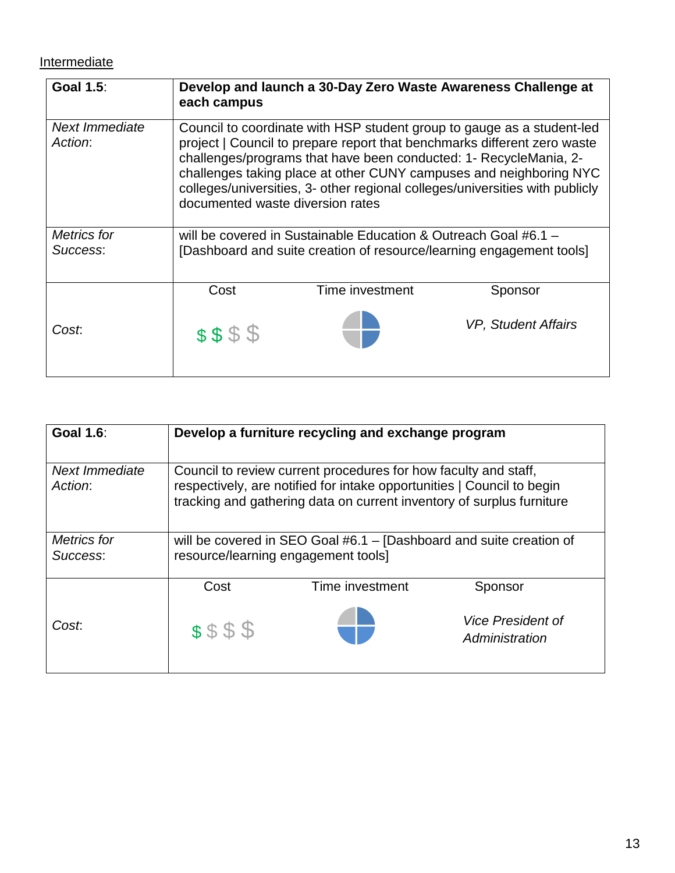## **Intermediate**

| <b>Goal 1.5:</b>          | Develop and launch a 30-Day Zero Waste Awareness Challenge at<br>each campus                                                                                                                                                                                                                                                                                                                                      |                 |                            |  |
|---------------------------|-------------------------------------------------------------------------------------------------------------------------------------------------------------------------------------------------------------------------------------------------------------------------------------------------------------------------------------------------------------------------------------------------------------------|-----------------|----------------------------|--|
| Next Immediate<br>Action: | Council to coordinate with HSP student group to gauge as a student-led<br>project   Council to prepare report that benchmarks different zero waste<br>challenges/programs that have been conducted: 1- RecycleMania, 2-<br>challenges taking place at other CUNY campuses and neighboring NYC<br>colleges/universities, 3- other regional colleges/universities with publicly<br>documented waste diversion rates |                 |                            |  |
| Metrics for<br>Success:   | will be covered in Sustainable Education & Outreach Goal #6.1 $-$<br>[Dashboard and suite creation of resource/learning engagement tools]                                                                                                                                                                                                                                                                         |                 |                            |  |
|                           | Cost                                                                                                                                                                                                                                                                                                                                                                                                              | Time investment | Sponsor                    |  |
| Cost.                     | \$\$\$\$                                                                                                                                                                                                                                                                                                                                                                                                          |                 | <b>VP, Student Affairs</b> |  |

| <b>Goal 1.6:</b>               | Develop a furniture recycling and exchange program                                                                                                                                                                 |                 |                                            |
|--------------------------------|--------------------------------------------------------------------------------------------------------------------------------------------------------------------------------------------------------------------|-----------------|--------------------------------------------|
| Next Immediate<br>Action:      | Council to review current procedures for how faculty and staff,<br>respectively, are notified for intake opportunities   Council to begin<br>tracking and gathering data on current inventory of surplus furniture |                 |                                            |
| <b>Metrics</b> for<br>Success: | will be covered in SEO Goal #6.1 - [Dashboard and suite creation of<br>resource/learning engagement tools]                                                                                                         |                 |                                            |
|                                | Cost                                                                                                                                                                                                               | Time investment | Sponsor                                    |
| Cost.                          | \$\$\$\$                                                                                                                                                                                                           |                 | <b>Vice President of</b><br>Administration |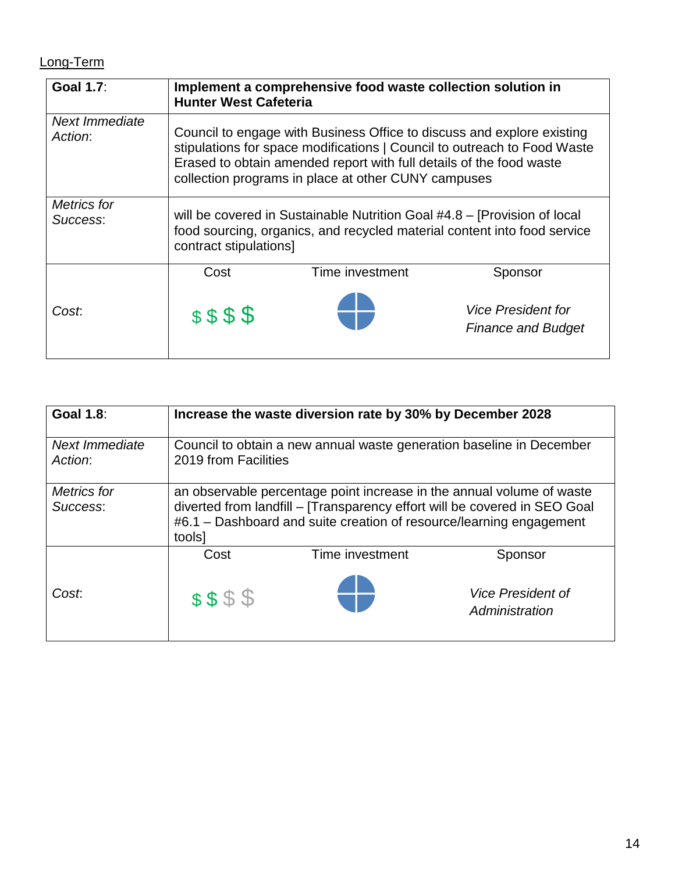# Long-Term

| <b>Goal 1.7:</b>               | Implement a comprehensive food waste collection solution in<br><b>Hunter West Cafeteria</b>                                                                                                                                                                                      |                 |                                                        |
|--------------------------------|----------------------------------------------------------------------------------------------------------------------------------------------------------------------------------------------------------------------------------------------------------------------------------|-----------------|--------------------------------------------------------|
| Next Immediate<br>Action:      | Council to engage with Business Office to discuss and explore existing<br>stipulations for space modifications   Council to outreach to Food Waste<br>Erased to obtain amended report with full details of the food waste<br>collection programs in place at other CUNY campuses |                 |                                                        |
| <b>Metrics for</b><br>Success: | will be covered in Sustainable Nutrition Goal #4.8 – [Provision of local<br>food sourcing, organics, and recycled material content into food service<br>contract stipulations]                                                                                                   |                 |                                                        |
|                                | Cost                                                                                                                                                                                                                                                                             | Time investment | Sponsor                                                |
| Cost.                          | \$\$\$\$                                                                                                                                                                                                                                                                         |                 | <b>Vice President for</b><br><b>Finance and Budget</b> |

| <b>Goal 1.8:</b>          | Increase the waste diversion rate by 30% by December 2028                                                                                                                                                                           |                 |                                            |
|---------------------------|-------------------------------------------------------------------------------------------------------------------------------------------------------------------------------------------------------------------------------------|-----------------|--------------------------------------------|
| Next Immediate<br>Action: | Council to obtain a new annual waste generation baseline in December<br>2019 from Facilities                                                                                                                                        |                 |                                            |
| Metrics for<br>Success:   | an observable percentage point increase in the annual volume of waste<br>diverted from landfill - [Transparency effort will be covered in SEO Goal<br>#6.1 – Dashboard and suite creation of resource/learning engagement<br>tools] |                 |                                            |
|                           | Cost                                                                                                                                                                                                                                | Time investment | Sponsor                                    |
| Cost.                     | \$\$\$\$                                                                                                                                                                                                                            |                 | <b>Vice President of</b><br>Administration |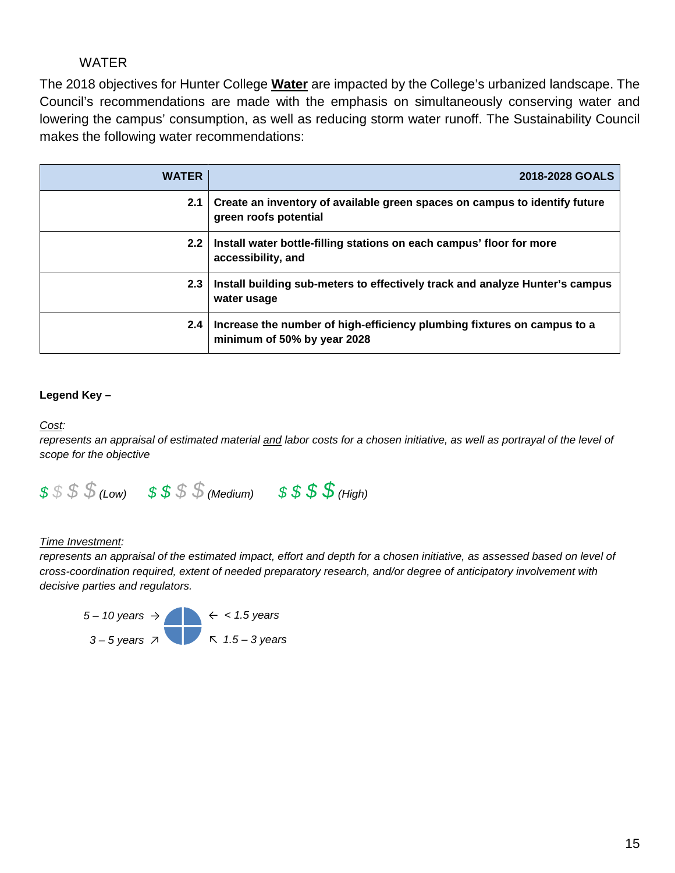## WATER

 Council's recommendations are made with the emphasis on simultaneously conserving water and The 2018 objectives for Hunter College **Water** are impacted by the College's urbanized landscape. The lowering the campus' consumption, as well as reducing storm water runoff. The Sustainability Council makes the following water recommendations:

| <b>WATER</b>     | 2018-2028 GOALS                                                                                        |
|------------------|--------------------------------------------------------------------------------------------------------|
| 2.1              | Create an inventory of available green spaces on campus to identify future<br>green roofs potential    |
| $2.2\phantom{0}$ | Install water bottle-filling stations on each campus' floor for more<br>accessibility, and             |
| 2.3              | Install building sub-meters to effectively track and analyze Hunter's campus<br>water usage            |
| 2.4              | Increase the number of high-efficiency plumbing fixtures on campus to a<br>minimum of 50% by year 2028 |

#### **Legend Key –**

#### Cost:

Cost:<br>represents an appraisal of estimated material <u>and</u> labor costs for a chosen initiative, as well as portrayal of the level of *scope for the objective* 



#### **Time Investment:**

represents an appraisal of the estimated impact, effort and depth for a chosen initiative, as assessed based on level of *cross-coordination required, extent of needed preparatory research, and/or degree of anticipatory involvement with decisive parties and regulators.* 

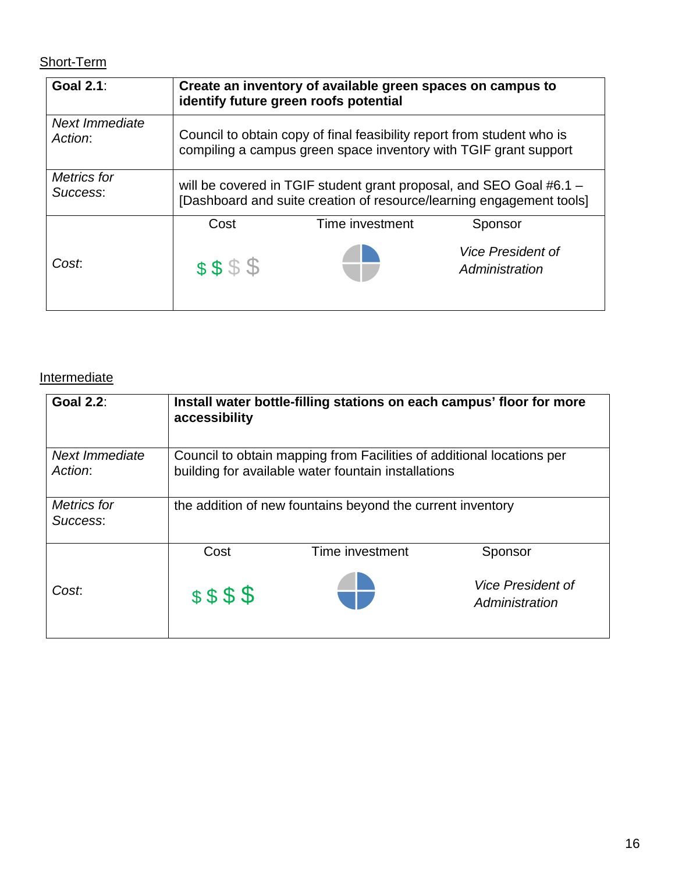## Short-Term

| <b>Goal 2.1:</b>               | Create an inventory of available green spaces on campus to<br>identify future green roofs potential                                         |  |                                            |  |
|--------------------------------|---------------------------------------------------------------------------------------------------------------------------------------------|--|--------------------------------------------|--|
| Next Immediate<br>Action:      | Council to obtain copy of final feasibility report from student who is<br>compiling a campus green space inventory with TGIF grant support  |  |                                            |  |
| <b>Metrics</b> for<br>Success: | will be covered in TGIF student grant proposal, and SEO Goal #6.1 -<br>[Dashboard and suite creation of resource/learning engagement tools] |  |                                            |  |
|                                | Time investment<br>Cost<br>Sponsor                                                                                                          |  |                                            |  |
| Cost.                          | \$\$\$\$                                                                                                                                    |  | <b>Vice President of</b><br>Administration |  |

## **Intermediate**

| <b>Goal 2.2:</b>               | accessibility                                                                                                                | Install water bottle-filling stations on each campus' floor for more |                                            |
|--------------------------------|------------------------------------------------------------------------------------------------------------------------------|----------------------------------------------------------------------|--------------------------------------------|
| Next Immediate<br>Action:      | Council to obtain mapping from Facilities of additional locations per<br>building for available water fountain installations |                                                                      |                                            |
| <b>Metrics</b> for<br>Success: | the addition of new fountains beyond the current inventory                                                                   |                                                                      |                                            |
|                                | Cost                                                                                                                         | Time investment                                                      | Sponsor                                    |
| Cost.                          | \$\$\$\$                                                                                                                     |                                                                      | <b>Vice President of</b><br>Administration |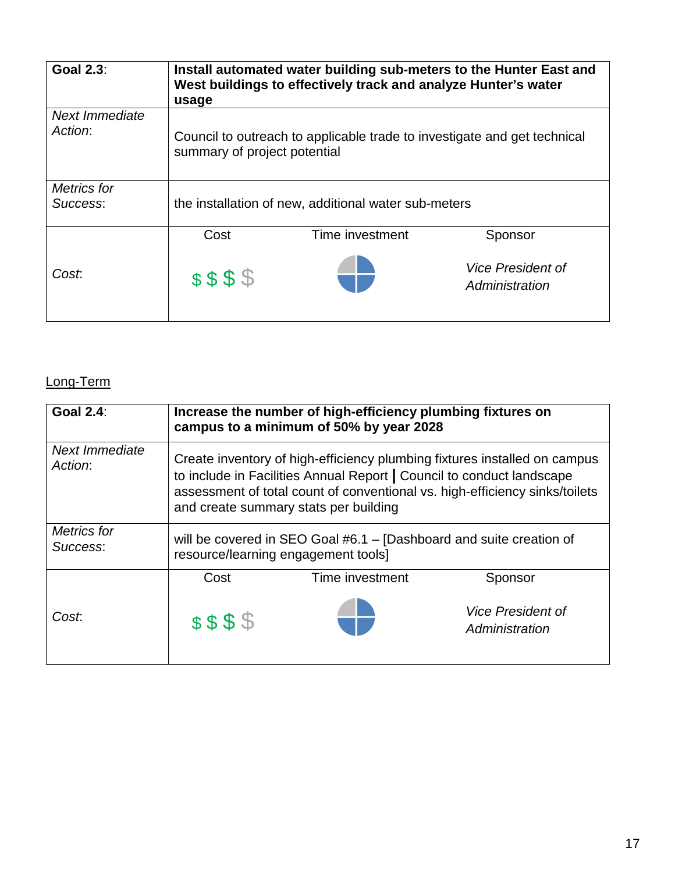| <b>Goal 2.3:</b>               | usage                        | West buildings to effectively track and analyze Hunter's water           | Install automated water building sub-meters to the Hunter East and |
|--------------------------------|------------------------------|--------------------------------------------------------------------------|--------------------------------------------------------------------|
| Next Immediate<br>Action:      | summary of project potential | Council to outreach to applicable trade to investigate and get technical |                                                                    |
| <b>Metrics</b> for<br>Success: |                              | the installation of new, additional water sub-meters                     |                                                                    |
|                                | Cost                         | Time investment                                                          | Sponsor                                                            |
| Cost:                          | \$\$\$\$                     |                                                                          | <i><b>Vice President of</b></i><br>Administration                  |

# Long-Term

| <b>Goal 2.4:</b>               | Increase the number of high-efficiency plumbing fixtures on<br>campus to a minimum of 50% by year 2028                                                                                                                                                                     |                            |                                                   |  |
|--------------------------------|----------------------------------------------------------------------------------------------------------------------------------------------------------------------------------------------------------------------------------------------------------------------------|----------------------------|---------------------------------------------------|--|
| Next Immediate<br>Action:      | Create inventory of high-efficiency plumbing fixtures installed on campus<br>to include in Facilities Annual Report   Council to conduct landscape<br>assessment of total count of conventional vs. high-efficiency sinks/toilets<br>and create summary stats per building |                            |                                                   |  |
| <b>Metrics</b> for<br>Success: | will be covered in SEO Goal #6.1 - [Dashboard and suite creation of<br>resource/learning engagement tools]                                                                                                                                                                 |                            |                                                   |  |
|                                | Cost                                                                                                                                                                                                                                                                       | Time investment<br>Sponsor |                                                   |  |
| Cost.                          | \$\$\$\$                                                                                                                                                                                                                                                                   |                            | <i><b>Vice President of</b></i><br>Administration |  |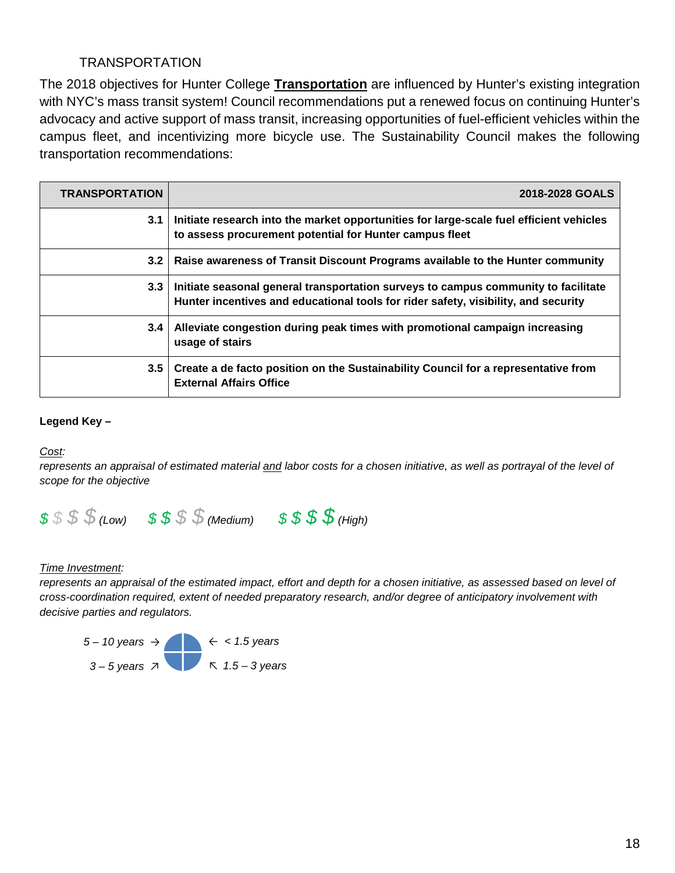## TRANSPORTATION

 advocacy and active support of mass transit, increasing opportunities of fuel-efficient vehicles within the The 2018 objectives for Hunter College **Transportation** are influenced by Hunter's existing integration with NYC's mass transit system! Council recommendations put a renewed focus on continuing Hunter's campus fleet, and incentivizing more bicycle use. The Sustainability Council makes the following transportation recommendations:

| <b>TRANSPORTATION</b> | 2018-2028 GOALS                                                                                                                                                          |
|-----------------------|--------------------------------------------------------------------------------------------------------------------------------------------------------------------------|
| 3.1                   | Initiate research into the market opportunities for large-scale fuel efficient vehicles<br>to assess procurement potential for Hunter campus fleet                       |
| 3.2                   | Raise awareness of Transit Discount Programs available to the Hunter community                                                                                           |
| 3.3                   | Initiate seasonal general transportation surveys to campus community to facilitate<br>Hunter incentives and educational tools for rider safety, visibility, and security |
| 3.4                   | Alleviate congestion during peak times with promotional campaign increasing<br>usage of stairs                                                                           |
| 3.5                   | Create a de facto position on the Sustainability Council for a representative from<br><b>External Affairs Office</b>                                                     |

#### **Legend Key –**

#### Cost:

Cost:<br>represents an appraisal of estimated material <u>and</u> labor costs for a chosen initiative, as well as portrayal of the level of *scope for the objective* 



#### **Time Investment:**

represents an appraisal of the estimated impact, effort and depth for a chosen initiative, as assessed based on level of *cross-coordination required, extent of needed preparatory research, and/or degree of anticipatory involvement with decisive parties and regulators.* 

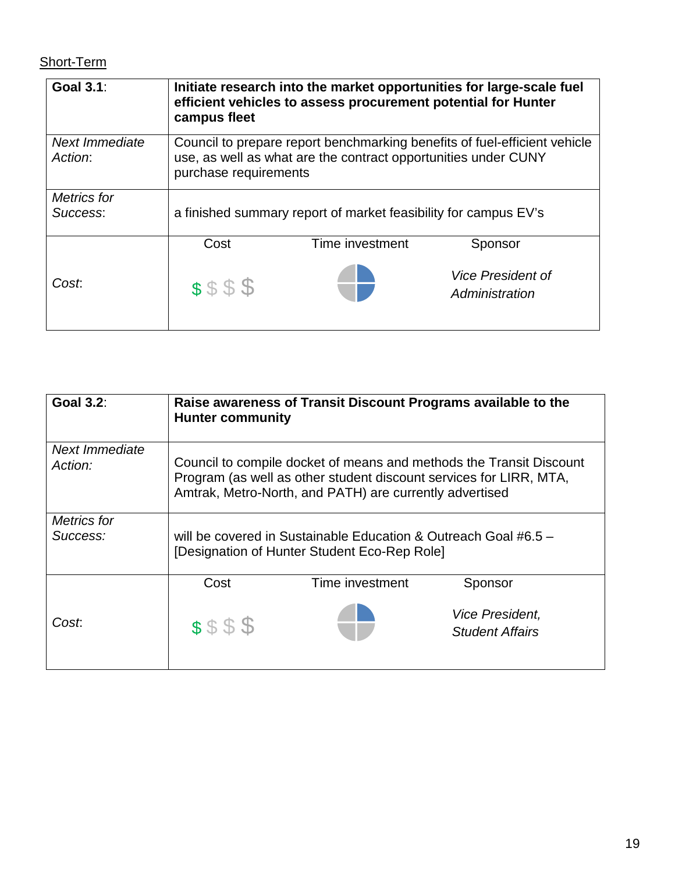## Short-Term

| <b>Goal 3.1:</b>          | Initiate research into the market opportunities for large-scale fuel<br>efficient vehicles to assess procurement potential for Hunter<br>campus fleet                |                                                                 |                                            |
|---------------------------|----------------------------------------------------------------------------------------------------------------------------------------------------------------------|-----------------------------------------------------------------|--------------------------------------------|
| Next Immediate<br>Action: | Council to prepare report benchmarking benefits of fuel-efficient vehicle<br>use, as well as what are the contract opportunities under CUNY<br>purchase requirements |                                                                 |                                            |
| Metrics for<br>Success:   |                                                                                                                                                                      | a finished summary report of market feasibility for campus EV's |                                            |
|                           | Cost                                                                                                                                                                 | Time investment                                                 | Sponsor                                    |
| Cost.                     | \$\$\$\$                                                                                                                                                             |                                                                 | <b>Vice President of</b><br>Administration |

| <b>Goal 3.2:</b>               | <b>Hunter community</b>                                                                                                                                                                              | Raise awareness of Transit Discount Programs available to the |                                                         |
|--------------------------------|------------------------------------------------------------------------------------------------------------------------------------------------------------------------------------------------------|---------------------------------------------------------------|---------------------------------------------------------|
| Next Immediate<br>Action:      | Council to compile docket of means and methods the Transit Discount<br>Program (as well as other student discount services for LIRR, MTA,<br>Amtrak, Metro-North, and PATH) are currently advertised |                                                               |                                                         |
| <b>Metrics for</b><br>Success: | will be covered in Sustainable Education & Outreach Goal #6.5 $-$<br>[Designation of Hunter Student Eco-Rep Role]                                                                                    |                                                               |                                                         |
|                                | Cost                                                                                                                                                                                                 | Time investment                                               | Sponsor                                                 |
| Cost:                          | \$\$\$\$                                                                                                                                                                                             |                                                               | <i><b>Vice President,</b></i><br><b>Student Affairs</b> |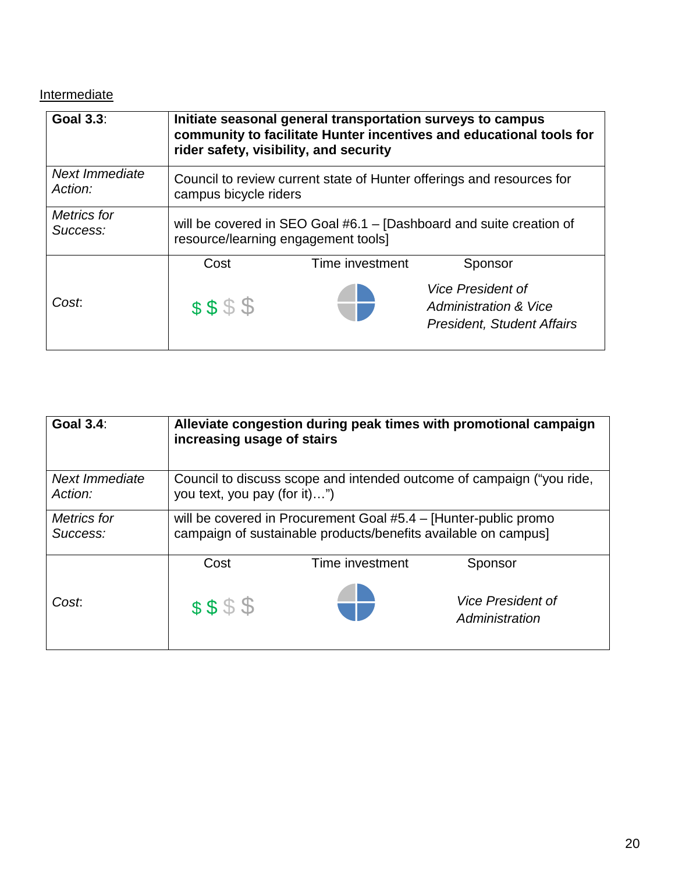## **Intermediate**

| <b>Goal 3.3:</b>          | Initiate seasonal general transportation surveys to campus<br>community to facilitate Hunter incentives and educational tools for<br>rider safety, visibility, and security |                 |                                                                                                   |
|---------------------------|-----------------------------------------------------------------------------------------------------------------------------------------------------------------------------|-----------------|---------------------------------------------------------------------------------------------------|
| Next Immediate<br>Action: | Council to review current state of Hunter offerings and resources for<br>campus bicycle riders                                                                              |                 |                                                                                                   |
| Metrics for<br>Success:   | will be covered in SEO Goal #6.1 - [Dashboard and suite creation of<br>resource/learning engagement tools]                                                                  |                 |                                                                                                   |
|                           | Cost                                                                                                                                                                        | Time investment | Sponsor                                                                                           |
| Cost                      | \$\$\$\$                                                                                                                                                                    |                 | <b>Vice President of</b><br><b>Administration &amp; Vice</b><br><b>President, Student Affairs</b> |

| <b>Goal 3.4:</b>          | increasing usage of stairs                                                                                                        |                 | Alleviate congestion during peak times with promotional campaign |
|---------------------------|-----------------------------------------------------------------------------------------------------------------------------------|-----------------|------------------------------------------------------------------|
| Next Immediate<br>Action: | Council to discuss scope and intended outcome of campaign ("you ride,<br>you text, you pay (for it)")                             |                 |                                                                  |
| Metrics for<br>Success:   | will be covered in Procurement Goal #5.4 – [Hunter-public promo<br>campaign of sustainable products/benefits available on campus] |                 |                                                                  |
|                           | Cost                                                                                                                              | Time investment | Sponsor                                                          |
| Cost.                     | \$\$\$\$                                                                                                                          |                 | <b>Vice President of</b><br>Administration                       |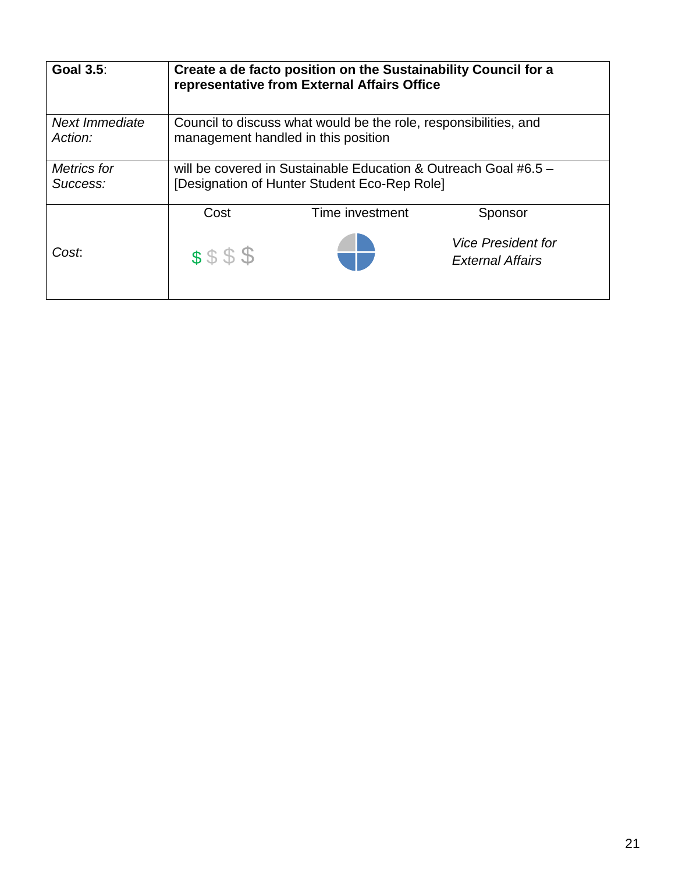| <b>Goal 3.5:</b>          | Create a de facto position on the Sustainability Council for a<br>representative from External Affairs Office     |                 |                                                      |
|---------------------------|-------------------------------------------------------------------------------------------------------------------|-----------------|------------------------------------------------------|
| Next Immediate<br>Action: | Council to discuss what would be the role, responsibilities, and<br>management handled in this position           |                 |                                                      |
| Metrics for<br>Success:   | will be covered in Sustainable Education & Outreach Goal #6.5 $-$<br>[Designation of Hunter Student Eco-Rep Role] |                 |                                                      |
|                           | Cost                                                                                                              | Time investment | Sponsor                                              |
| Cost.                     | \$\$\$\$                                                                                                          |                 | <b>Vice President for</b><br><b>External Affairs</b> |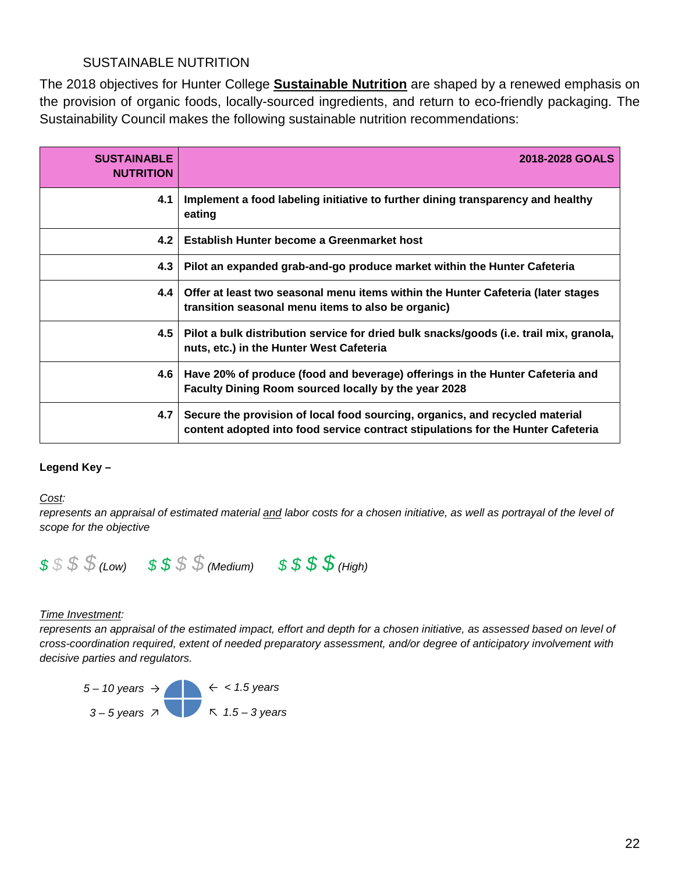## SUSTAINABLE NUTRITION

The 2018 objectives for Hunter College **Sustainable Nutrition** are shaped by a renewed emphasis on the provision of organic foods, locally-sourced ingredients, and return to eco-friendly packaging. The Sustainability Council makes the following sustainable nutrition recommendations:

| <b>SUSTAINABLE</b><br><b>NUTRITION</b> | 2018-2028 GOALS                                                                                                                                                  |
|----------------------------------------|------------------------------------------------------------------------------------------------------------------------------------------------------------------|
| 4.1                                    | Implement a food labeling initiative to further dining transparency and healthy<br>eating                                                                        |
| 4.2                                    | Establish Hunter become a Greenmarket host                                                                                                                       |
| 4.3                                    | Pilot an expanded grab-and-go produce market within the Hunter Cafeteria                                                                                         |
| 4.4                                    | Offer at least two seasonal menu items within the Hunter Cafeteria (later stages<br>transition seasonal menu items to also be organic)                           |
| 4.5                                    | Pilot a bulk distribution service for dried bulk snacks/goods (i.e. trail mix, granola,<br>nuts, etc.) in the Hunter West Cafeteria                              |
| 4.6 <sub>1</sub>                       | Have 20% of produce (food and beverage) offerings in the Hunter Cafeteria and<br>Faculty Dining Room sourced locally by the year 2028                            |
| 4.7                                    | Secure the provision of local food sourcing, organics, and recycled material<br>content adopted into food service contract stipulations for the Hunter Cafeteria |

#### **Legend Key –**

Cost:

Cost:<br>represents an appraisal of estimated material <u>and</u> labor costs for a chosen initiative, as well as portrayal of the level of *scope for the objective* 



#### **Time Investment:**

represents an appraisal of the estimated impact, effort and depth for a chosen initiative, as assessed based on level of *cross-coordination required, extent of needed preparatory assessment, and/or degree of anticipatory involvement with decisive parties and regulators.* 

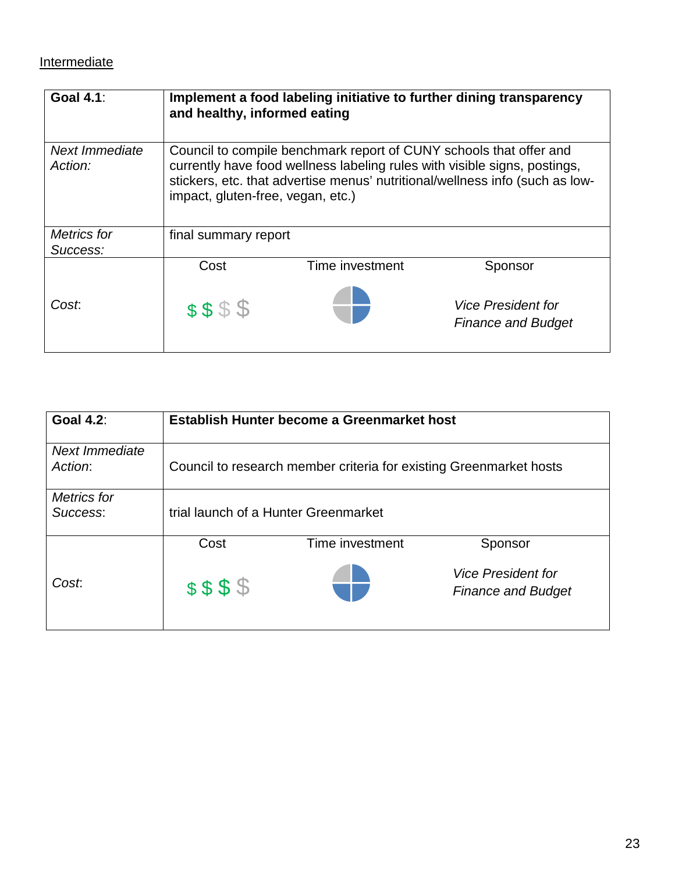## **Intermediate**

| <b>Goal 4.1:</b>                 | and healthy, informed eating      |                                                                    | Implement a food labeling initiative to further dining transparency                                                                                       |
|----------------------------------|-----------------------------------|--------------------------------------------------------------------|-----------------------------------------------------------------------------------------------------------------------------------------------------------|
| <b>Next Immediate</b><br>Action: | impact, gluten-free, vegan, etc.) | Council to compile benchmark report of CUNY schools that offer and | currently have food wellness labeling rules with visible signs, postings,<br>stickers, etc. that advertise menus' nutritional/wellness info (such as low- |
| <b>Metrics</b> for<br>Success:   | final summary report              |                                                                    |                                                                                                                                                           |
|                                  | Cost                              | Time investment                                                    | Sponsor                                                                                                                                                   |
| Cost.                            | \$\$\$\$                          |                                                                    | <b>Vice President for</b><br><b>Finance and Budget</b>                                                                                                    |

| <b>Goal 4.2:</b>               | Establish Hunter become a Greenmarket host |                                                                    |                                                        |
|--------------------------------|--------------------------------------------|--------------------------------------------------------------------|--------------------------------------------------------|
| Next Immediate<br>Action:      |                                            | Council to research member criteria for existing Greenmarket hosts |                                                        |
| <b>Metrics</b> for<br>Success: | trial launch of a Hunter Greenmarket       |                                                                    |                                                        |
|                                | Cost                                       | Time investment                                                    | Sponsor                                                |
| Cost.                          | \$\$\$\$                                   |                                                                    | <b>Vice President for</b><br><b>Finance and Budget</b> |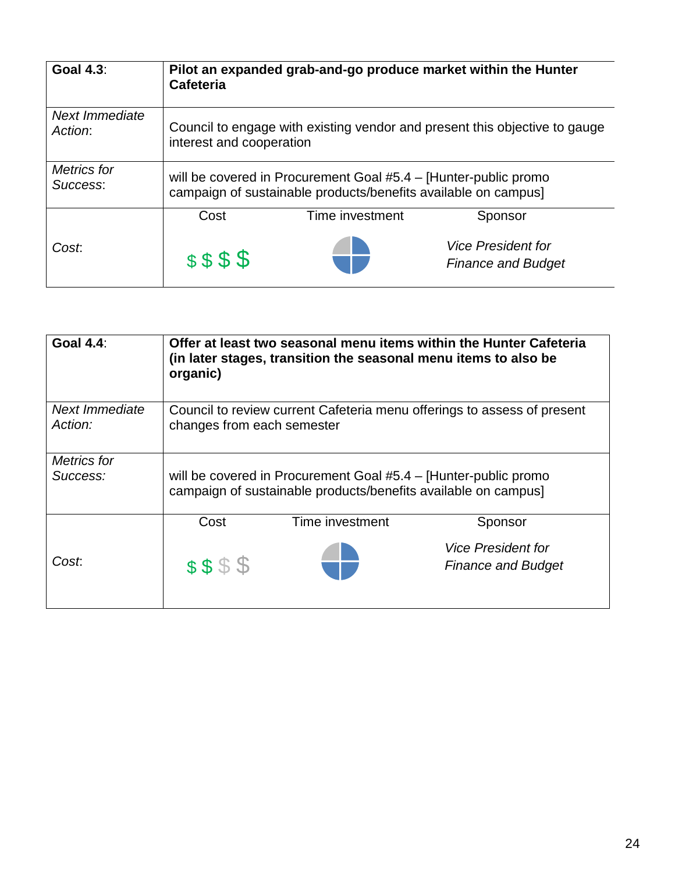| <b>Goal 4.3:</b>                 | Pilot an expanded grab-and-go produce market within the Hunter<br>Cafeteria                                                       |                 |                                                        |
|----------------------------------|-----------------------------------------------------------------------------------------------------------------------------------|-----------------|--------------------------------------------------------|
| <b>Next Immediate</b><br>Action: | Council to engage with existing vendor and present this objective to gauge<br>interest and cooperation                            |                 |                                                        |
| <b>Metrics for</b><br>Success:   | will be covered in Procurement Goal #5.4 – [Hunter-public promo<br>campaign of sustainable products/benefits available on campus] |                 |                                                        |
|                                  | Cost                                                                                                                              | Time investment | Sponsor                                                |
| Cost.                            | \$\$\$\$                                                                                                                          |                 | <b>Vice President for</b><br><b>Finance and Budget</b> |

| <b>Goal 4.4:</b>               | Offer at least two seasonal menu items within the Hunter Cafeteria<br>(in later stages, transition the seasonal menu items to also be<br>organic) |                 |                                                               |
|--------------------------------|---------------------------------------------------------------------------------------------------------------------------------------------------|-----------------|---------------------------------------------------------------|
| Next Immediate<br>Action:      | Council to review current Cafeteria menu offerings to assess of present<br>changes from each semester                                             |                 |                                                               |
| <b>Metrics</b> for<br>Success: | will be covered in Procurement Goal #5.4 – [Hunter-public promo<br>campaign of sustainable products/benefits available on campus]                 |                 |                                                               |
|                                | Cost                                                                                                                                              | Time investment | Sponsor                                                       |
| Cost.                          | \$\$\$\$                                                                                                                                          |                 | <i><b>Vice President for</b></i><br><b>Finance and Budget</b> |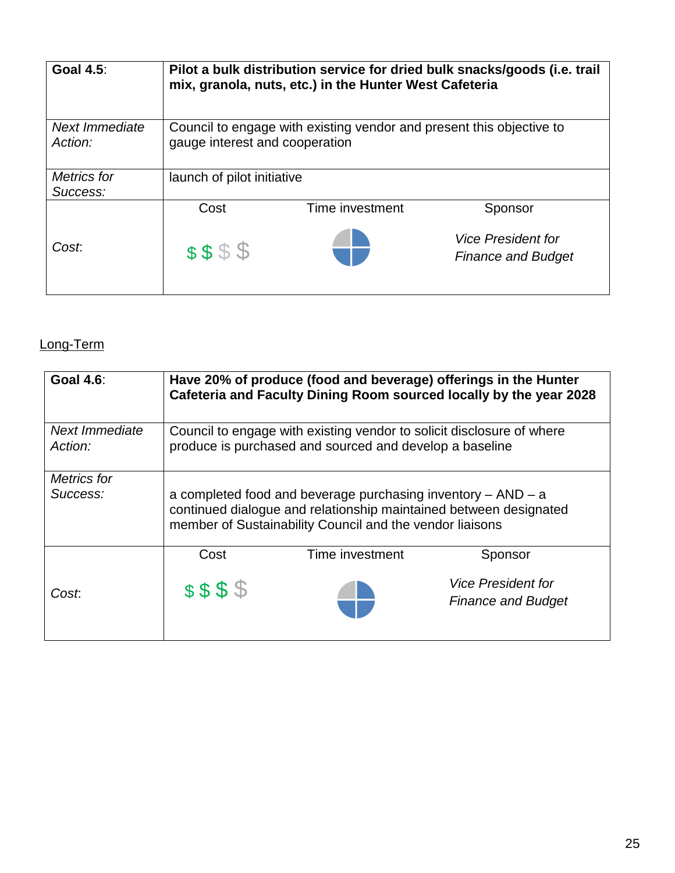| <b>Goal 4.5:</b>          | Pilot a bulk distribution service for dried bulk snacks/goods (i.e. trail<br>mix, granola, nuts, etc.) in the Hunter West Cafeteria |                 |                                                               |
|---------------------------|-------------------------------------------------------------------------------------------------------------------------------------|-----------------|---------------------------------------------------------------|
| Next Immediate<br>Action: | Council to engage with existing vendor and present this objective to<br>gauge interest and cooperation                              |                 |                                                               |
| Metrics for<br>Success:   | launch of pilot initiative                                                                                                          |                 |                                                               |
|                           | Cost                                                                                                                                | Time investment | Sponsor                                                       |
| Cost.                     | \$\$\$\$                                                                                                                            |                 | <i><b>Vice President for</b></i><br><b>Finance and Budget</b> |

# Long-Term

| <b>Goal 4.6:</b>          | Have 20% of produce (food and beverage) offerings in the Hunter<br>Cafeteria and Faculty Dining Room sourced locally by the year 2028                                                             |                 |                                                                   |
|---------------------------|---------------------------------------------------------------------------------------------------------------------------------------------------------------------------------------------------|-----------------|-------------------------------------------------------------------|
| Next Immediate<br>Action: | Council to engage with existing vendor to solicit disclosure of where<br>produce is purchased and sourced and develop a baseline                                                                  |                 |                                                                   |
| Metrics for<br>Success:   | a completed food and beverage purchasing inventory $-$ AND $-$ a<br>continued dialogue and relationship maintained between designated<br>member of Sustainability Council and the vendor liaisons |                 |                                                                   |
| Cost:                     | Cost<br>\$\$\$\$                                                                                                                                                                                  | Time investment | Sponsor<br><b>Vice President for</b><br><b>Finance and Budget</b> |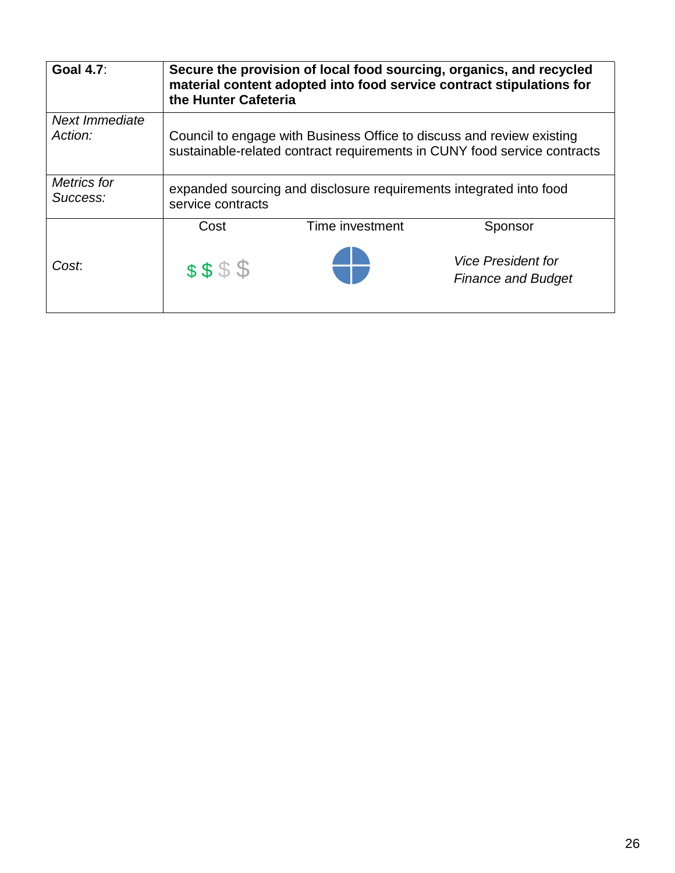| <b>Goal 4.7:</b>               | Secure the provision of local food sourcing, organics, and recycled<br>material content adopted into food service contract stipulations for<br>the Hunter Cafeteria |                 |                                                        |
|--------------------------------|---------------------------------------------------------------------------------------------------------------------------------------------------------------------|-----------------|--------------------------------------------------------|
| Next Immediate<br>Action:      | Council to engage with Business Office to discuss and review existing<br>sustainable-related contract requirements in CUNY food service contracts                   |                 |                                                        |
| <b>Metrics</b> for<br>Success: | expanded sourcing and disclosure requirements integrated into food<br>service contracts                                                                             |                 |                                                        |
|                                | Cost                                                                                                                                                                | Time investment | Sponsor                                                |
| Cost:                          | \$\$\$\$                                                                                                                                                            |                 | <b>Vice President for</b><br><b>Finance and Budget</b> |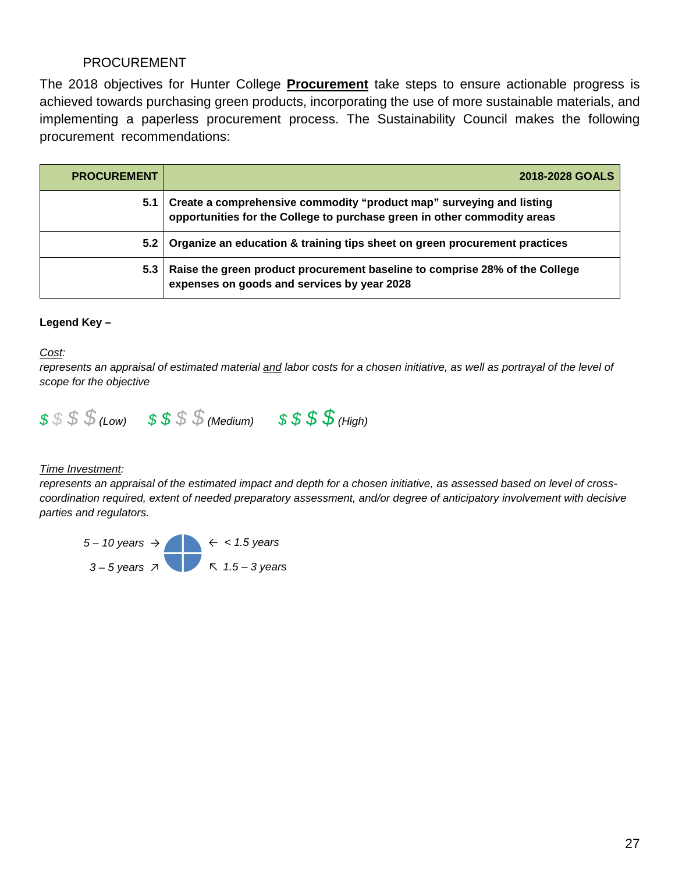## PROCUREMENT

 The 2018 objectives for Hunter College **Procurement** take steps to ensure actionable progress is implementing a paperless procurement process. The Sustainability Council makes the following \_ procurement recommendations: achieved towards purchasing green products, incorporating the use of more sustainable materials, and

| <b>PROCUREMENT</b> | 2018-2028 GOALS                                                                                                                                  |
|--------------------|--------------------------------------------------------------------------------------------------------------------------------------------------|
| 5.1                | Create a comprehensive commodity "product map" surveying and listing<br>opportunities for the College to purchase green in other commodity areas |
| 5.2 <sub>1</sub>   | Organize an education & training tips sheet on green procurement practices                                                                       |
| 5.3                | Raise the green product procurement baseline to comprise 28% of the College<br>expenses on goods and services by year 2028                       |

#### **Legend Key –**

Cost:

Cost:<br>represents an appraisal of estimated material <u>and</u> labor costs for a chosen initiative, as well as portrayal of the level of *scope for the objective* 



#### **Time Investment:**

 *coordination required, extent of needed preparatory assessment, and/or degree of anticipatory involvement with decisive*  represents an appraisal of the estimated impact and depth for a chosen initiative, as assessed based on level of cross*parties and regulators.* 

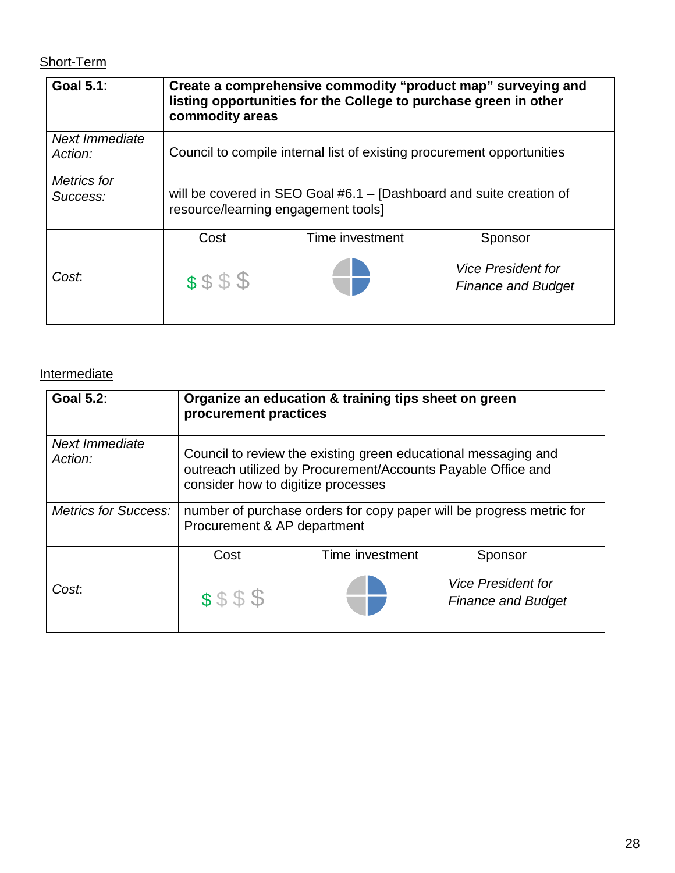# Short-Term

| <b>Goal 5.1:</b>          | Create a comprehensive commodity "product map" surveying and<br>listing opportunities for the College to purchase green in other<br>commodity areas |                 |                                                        |
|---------------------------|-----------------------------------------------------------------------------------------------------------------------------------------------------|-----------------|--------------------------------------------------------|
| Next Immediate<br>Action: | Council to compile internal list of existing procurement opportunities                                                                              |                 |                                                        |
| Metrics for<br>Success:   | will be covered in SEO Goal #6.1 - [Dashboard and suite creation of<br>resource/learning engagement tools]                                          |                 |                                                        |
|                           | Cost                                                                                                                                                | Time investment | Sponsor                                                |
| Cost.                     | \$\$\$\$                                                                                                                                            |                 | <b>Vice President for</b><br><b>Finance and Budget</b> |

## **Intermediate**

| <b>Goal 5.2:</b>            | procurement practices                                                                                                                                                | Organize an education & training tips sheet on green |                                                        |
|-----------------------------|----------------------------------------------------------------------------------------------------------------------------------------------------------------------|------------------------------------------------------|--------------------------------------------------------|
| Next Immediate<br>Action:   | Council to review the existing green educational messaging and<br>outreach utilized by Procurement/Accounts Payable Office and<br>consider how to digitize processes |                                                      |                                                        |
| <b>Metrics for Success:</b> | number of purchase orders for copy paper will be progress metric for<br>Procurement & AP department                                                                  |                                                      |                                                        |
|                             | Cost                                                                                                                                                                 | Time investment                                      | Sponsor                                                |
| Cost:                       | \$\$\$\$                                                                                                                                                             |                                                      | <b>Vice President for</b><br><b>Finance and Budget</b> |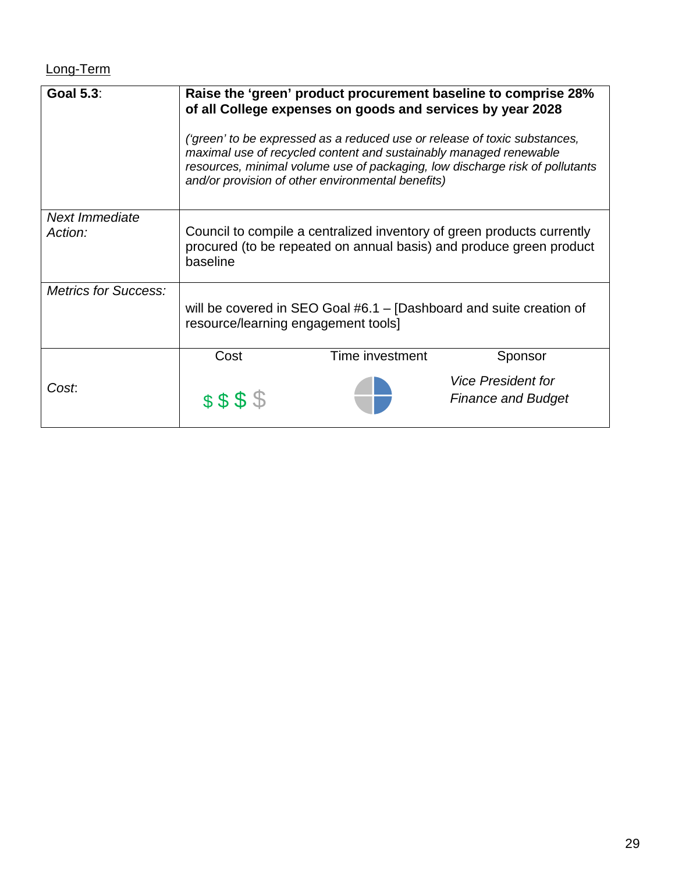# Long-Term

| <b>Goal 5.3:</b>            | Raise the 'green' product procurement baseline to comprise 28%<br>of all College expenses on goods and services by year 2028                              |                                                                                                                        |                                                                                                                                                           |
|-----------------------------|-----------------------------------------------------------------------------------------------------------------------------------------------------------|------------------------------------------------------------------------------------------------------------------------|-----------------------------------------------------------------------------------------------------------------------------------------------------------|
|                             |                                                                                                                                                           | maximal use of recycled content and sustainably managed renewable<br>and/or provision of other environmental benefits) | ('green' to be expressed as a reduced use or release of toxic substances,<br>resources, minimal volume use of packaging, low discharge risk of pollutants |
| <b>Next Immediate</b>       |                                                                                                                                                           |                                                                                                                        |                                                                                                                                                           |
| Action:                     | Council to compile a centralized inventory of green products currently<br>procured (to be repeated on annual basis) and produce green product<br>baseline |                                                                                                                        |                                                                                                                                                           |
| <b>Metrics for Success:</b> | will be covered in SEO Goal #6.1 – [Dashboard and suite creation of<br>resource/learning engagement tools]                                                |                                                                                                                        |                                                                                                                                                           |
|                             | Cost                                                                                                                                                      | Time investment                                                                                                        | Sponsor                                                                                                                                                   |
| Cost.                       | \$\$\$\$                                                                                                                                                  |                                                                                                                        | <b>Vice President for</b><br><b>Finance and Budget</b>                                                                                                    |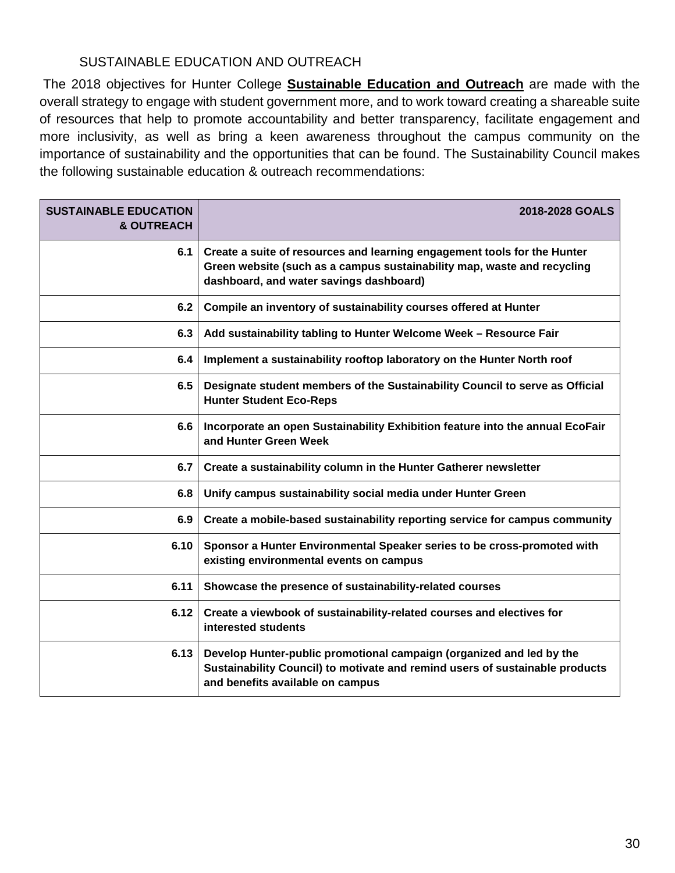## SUSTAINABLE EDUCATION AND OUTREACH

 more inclusivity, as well as bring a keen awareness throughout the campus community on the The 2018 objectives for Hunter College **Sustainable Education and Outreach** are made with the overall strategy to engage with student government more, and to work toward creating a shareable suite of resources that help to promote accountability and better transparency, facilitate engagement and importance of sustainability and the opportunities that can be found. The Sustainability Council makes the following sustainable education & outreach recommendations:

| <b>SUSTAINABLE EDUCATION</b><br>& OUTREACH | 2018-2028 GOALS                                                                                                                                                                                |
|--------------------------------------------|------------------------------------------------------------------------------------------------------------------------------------------------------------------------------------------------|
| 6.1                                        | Create a suite of resources and learning engagement tools for the Hunter<br>Green website (such as a campus sustainability map, waste and recycling<br>dashboard, and water savings dashboard) |
| 6.2                                        | Compile an inventory of sustainability courses offered at Hunter                                                                                                                               |
| 6.3                                        | Add sustainability tabling to Hunter Welcome Week - Resource Fair                                                                                                                              |
| 6.4                                        | Implement a sustainability rooftop laboratory on the Hunter North roof                                                                                                                         |
| 6.5                                        | Designate student members of the Sustainability Council to serve as Official<br><b>Hunter Student Eco-Reps</b>                                                                                 |
| 6.6                                        | Incorporate an open Sustainability Exhibition feature into the annual EcoFair<br>and Hunter Green Week                                                                                         |
| 6.7                                        | Create a sustainability column in the Hunter Gatherer newsletter                                                                                                                               |
| 6.8                                        | Unify campus sustainability social media under Hunter Green                                                                                                                                    |
| 6.9                                        | Create a mobile-based sustainability reporting service for campus community                                                                                                                    |
| 6.10                                       | Sponsor a Hunter Environmental Speaker series to be cross-promoted with<br>existing environmental events on campus                                                                             |
| 6.11                                       | Showcase the presence of sustainability-related courses                                                                                                                                        |
| 6.12                                       | Create a viewbook of sustainability-related courses and electives for<br>interested students                                                                                                   |
| 6.13                                       | Develop Hunter-public promotional campaign (organized and led by the<br>Sustainability Council) to motivate and remind users of sustainable products<br>and benefits available on campus       |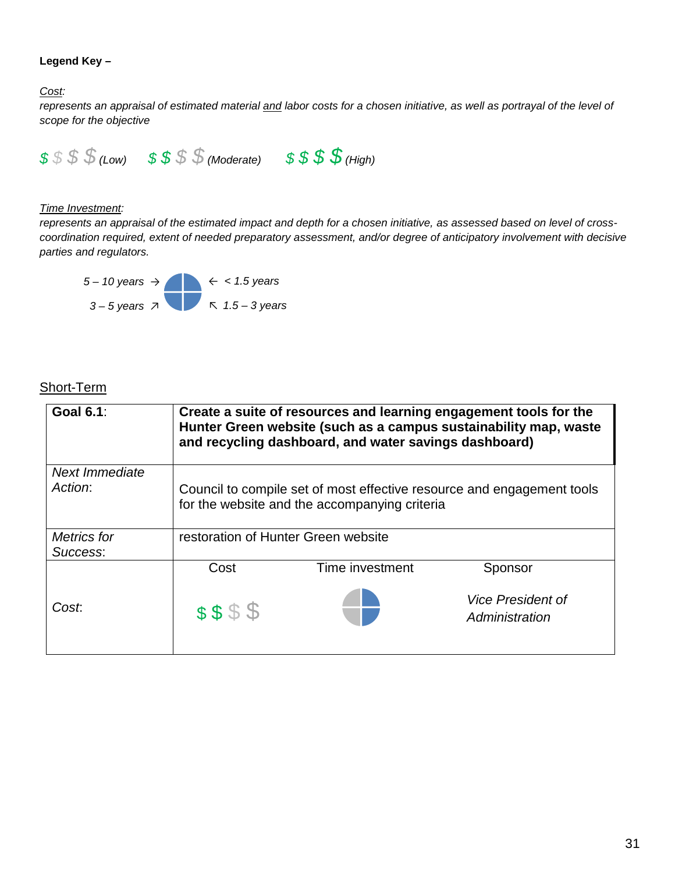#### **Legend Key –**

Cost:

Cost:<br>represents an appraisal of estimated material <u>and</u> labor costs for a chosen initiative, as well as portrayal of the level of *scope for the objective* 



#### **Time Investment:**

 *coordination required, extent of needed preparatory assessment, and/or degree of anticipatory involvement with decisive*  represents an appraisal of the estimated impact and depth for a chosen initiative, as assessed based on level of cross*parties and regulators.* 



## Short-Term

| <b>Goal 6.1:</b>   | Create a suite of resources and learning engagement tools for the<br>Hunter Green website (such as a campus sustainability map, waste<br>and recycling dashboard, and water savings dashboard) |                                     |                                            |  |
|--------------------|------------------------------------------------------------------------------------------------------------------------------------------------------------------------------------------------|-------------------------------------|--------------------------------------------|--|
| Next Immediate     |                                                                                                                                                                                                |                                     |                                            |  |
| Action:            | Council to compile set of most effective resource and engagement tools<br>for the website and the accompanying criteria                                                                        |                                     |                                            |  |
| <b>Metrics</b> for |                                                                                                                                                                                                | restoration of Hunter Green website |                                            |  |
| Success:           |                                                                                                                                                                                                |                                     |                                            |  |
|                    | Cost                                                                                                                                                                                           | Time investment                     | Sponsor                                    |  |
| Cost:              | \$\$\$\$                                                                                                                                                                                       |                                     | <b>Vice President of</b><br>Administration |  |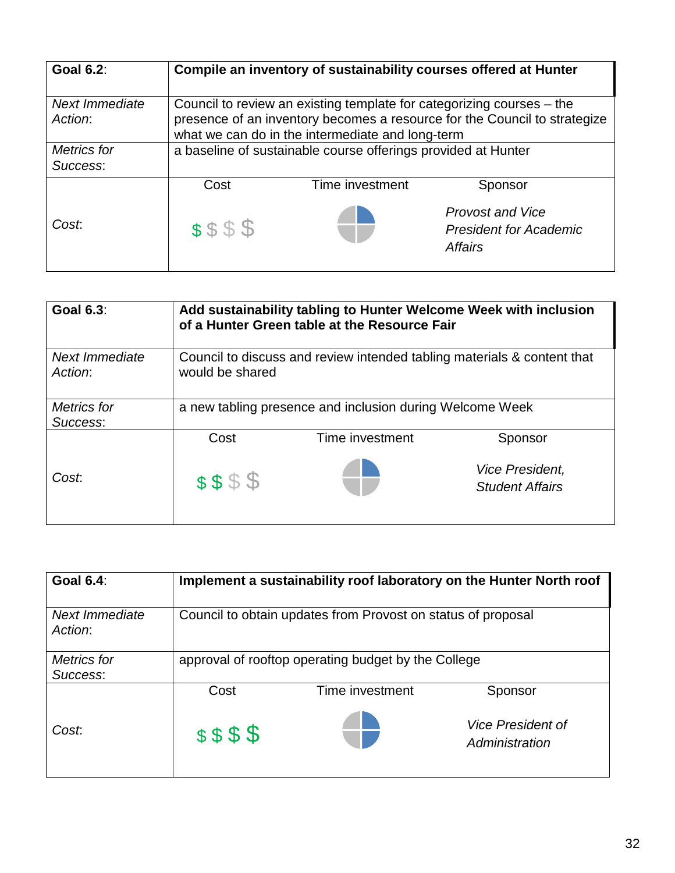| <b>Goal 6.2:</b>          | Compile an inventory of sustainability courses offered at Hunter                                                                                                                                       |                 |                                                                            |
|---------------------------|--------------------------------------------------------------------------------------------------------------------------------------------------------------------------------------------------------|-----------------|----------------------------------------------------------------------------|
| Next Immediate<br>Action: | Council to review an existing template for categorizing courses – the<br>presence of an inventory becomes a resource for the Council to strategize<br>what we can do in the intermediate and long-term |                 |                                                                            |
| Metrics for<br>Success:   | a baseline of sustainable course offerings provided at Hunter                                                                                                                                          |                 |                                                                            |
|                           | Cost                                                                                                                                                                                                   | Time investment | Sponsor                                                                    |
| Cost.                     | \$\$\$\$                                                                                                                                                                                               |                 | <b>Provost and Vice</b><br><b>President for Academic</b><br><b>Affairs</b> |

| <b>Goal 6.3:</b>          | Add sustainability tabling to Hunter Welcome Week with inclusion<br>of a Hunter Green table at the Resource Fair |                                                          |                                                  |
|---------------------------|------------------------------------------------------------------------------------------------------------------|----------------------------------------------------------|--------------------------------------------------|
| Next Immediate<br>Action: | Council to discuss and review intended tabling materials & content that<br>would be shared                       |                                                          |                                                  |
| Metrics for<br>Success:   |                                                                                                                  | a new tabling presence and inclusion during Welcome Week |                                                  |
|                           | Cost                                                                                                             | Time investment                                          | Sponsor                                          |
| Cost:                     | \$\$\$\$                                                                                                         |                                                          | <b>Vice President,</b><br><b>Student Affairs</b> |

| <b>Goal 6.4:</b>          |                                                              |                                                     | Implement a sustainability roof laboratory on the Hunter North roof |
|---------------------------|--------------------------------------------------------------|-----------------------------------------------------|---------------------------------------------------------------------|
| Next Immediate<br>Action: | Council to obtain updates from Provost on status of proposal |                                                     |                                                                     |
| Metrics for<br>Success:   |                                                              | approval of rooftop operating budget by the College |                                                                     |
|                           | Cost                                                         | Time investment                                     | Sponsor                                                             |
| Cost.                     | \$\$\$\$                                                     |                                                     | <i><b>Vice President of</b></i><br>Administration                   |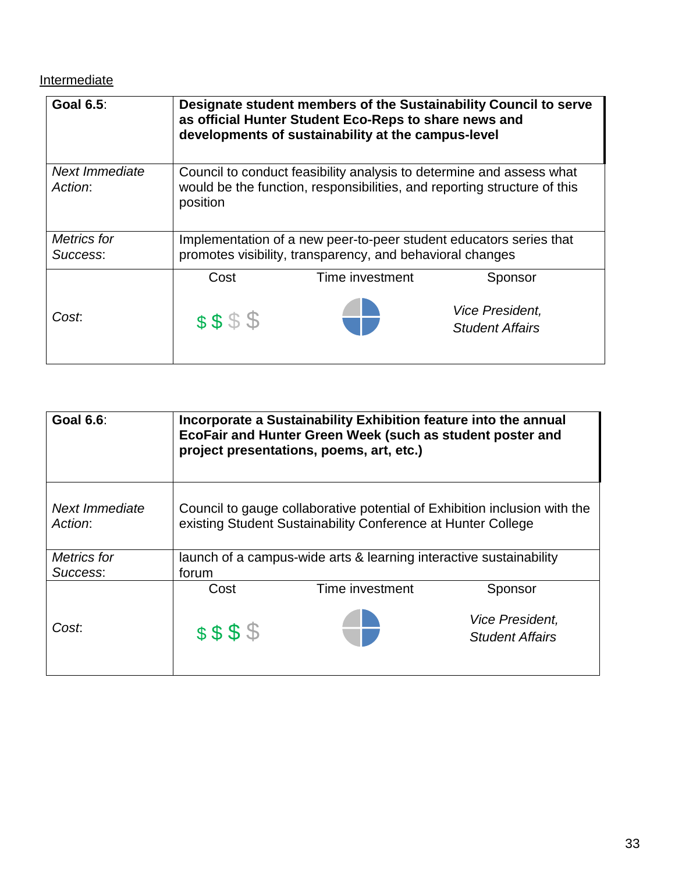**Intermediate** 

| <b>Goal 6.5:</b>          | Designate student members of the Sustainability Council to serve<br>as official Hunter Student Eco-Reps to share news and<br>developments of sustainability at the campus-level |                                                                                                                                                  |                                           |
|---------------------------|---------------------------------------------------------------------------------------------------------------------------------------------------------------------------------|--------------------------------------------------------------------------------------------------------------------------------------------------|-------------------------------------------|
| Next Immediate<br>Action: | position                                                                                                                                                                        | Council to conduct feasibility analysis to determine and assess what<br>would be the function, responsibilities, and reporting structure of this |                                           |
| Metrics for<br>Success:   | Implementation of a new peer-to-peer student educators series that<br>promotes visibility, transparency, and behavioral changes                                                 |                                                                                                                                                  |                                           |
|                           | Cost                                                                                                                                                                            | Time investment                                                                                                                                  | Sponsor                                   |
| Cost:                     | \$\$\$\$                                                                                                                                                                        |                                                                                                                                                  | Vice President,<br><b>Student Affairs</b> |

| <b>Goal 6.6:</b>          | Incorporate a Sustainability Exhibition feature into the annual<br>EcoFair and Hunter Green Week (such as student poster and<br>project presentations, poems, art, etc.) |                                                                                                                                           |                                                  |
|---------------------------|--------------------------------------------------------------------------------------------------------------------------------------------------------------------------|-------------------------------------------------------------------------------------------------------------------------------------------|--------------------------------------------------|
| Next Immediate<br>Action: |                                                                                                                                                                          | Council to gauge collaborative potential of Exhibition inclusion with the<br>existing Student Sustainability Conference at Hunter College |                                                  |
| Metrics for               |                                                                                                                                                                          | launch of a campus-wide arts & learning interactive sustainability                                                                        |                                                  |
| Success:                  | forum                                                                                                                                                                    |                                                                                                                                           |                                                  |
|                           | Cost                                                                                                                                                                     | Time investment                                                                                                                           | Sponsor                                          |
| Cost.                     | \$\$\$\$                                                                                                                                                                 |                                                                                                                                           | <b>Vice President,</b><br><b>Student Affairs</b> |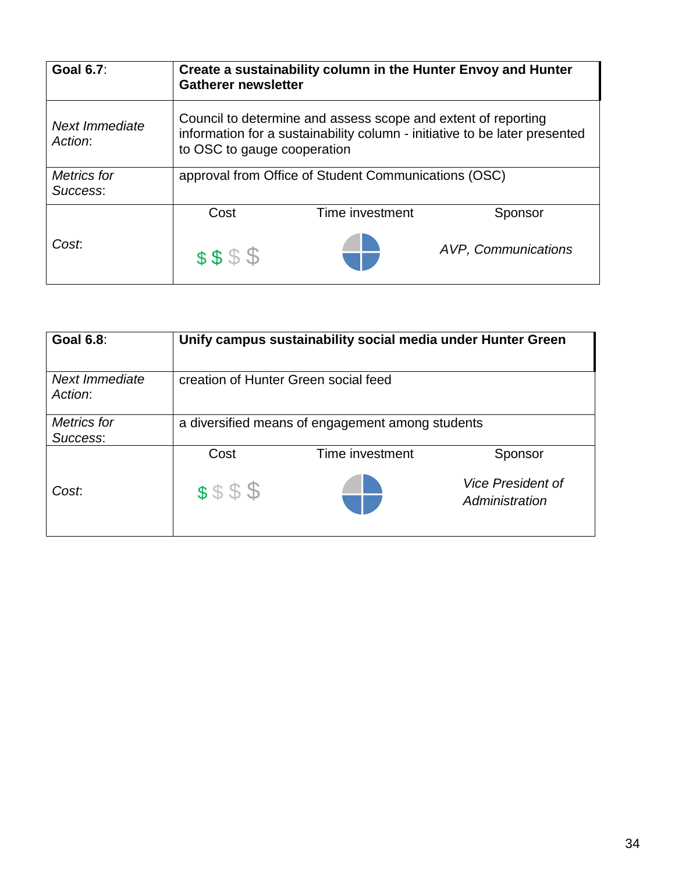| <b>Goal 6.7:</b>                 | Create a sustainability column in the Hunter Envoy and Hunter<br><b>Gatherer newsletter</b>                                                                                |                                                      |                     |
|----------------------------------|----------------------------------------------------------------------------------------------------------------------------------------------------------------------------|------------------------------------------------------|---------------------|
| <b>Next Immediate</b><br>Action: | Council to determine and assess scope and extent of reporting<br>information for a sustainability column - initiative to be later presented<br>to OSC to gauge cooperation |                                                      |                     |
| Metrics for<br>Success:          |                                                                                                                                                                            | approval from Office of Student Communications (OSC) |                     |
|                                  | Cost                                                                                                                                                                       | Time investment                                      | Sponsor             |
| Cost.                            | \$\$\$\$                                                                                                                                                                   |                                                      | AVP, Communications |

| <b>Goal 6.8:</b>          |                                                  | Unify campus sustainability social media under Hunter Green |                                            |
|---------------------------|--------------------------------------------------|-------------------------------------------------------------|--------------------------------------------|
| Next Immediate<br>Action: | creation of Hunter Green social feed             |                                                             |                                            |
| Metrics for               | a diversified means of engagement among students |                                                             |                                            |
| Success:                  |                                                  |                                                             |                                            |
|                           | Cost                                             | Time investment                                             | Sponsor                                    |
| Cost.                     | \$\$\$\$                                         |                                                             | <b>Vice President of</b><br>Administration |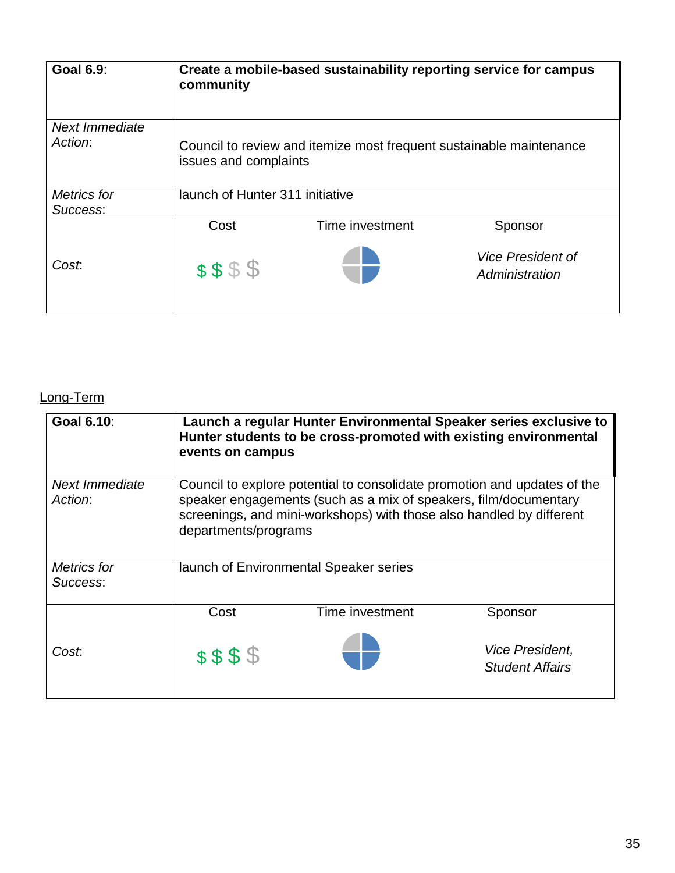| <b>Goal 6.9:</b>          | community                       | Create a mobile-based sustainability reporting service for campus   |                                            |
|---------------------------|---------------------------------|---------------------------------------------------------------------|--------------------------------------------|
| Next Immediate<br>Action: | issues and complaints           | Council to review and itemize most frequent sustainable maintenance |                                            |
| Metrics for<br>Success:   | launch of Hunter 311 initiative |                                                                     |                                            |
|                           | Cost                            | Time investment                                                     | Sponsor                                    |
| Cost.                     | \$\$\$\$                        |                                                                     | <b>Vice President of</b><br>Administration |

# Long-Term

| Goal 6.10:                     | events on campus     | Launch a regular Hunter Environmental Speaker series exclusive to<br>Hunter students to be cross-promoted with existing environmental                                                                                |                                                  |
|--------------------------------|----------------------|----------------------------------------------------------------------------------------------------------------------------------------------------------------------------------------------------------------------|--------------------------------------------------|
| Next Immediate<br>Action:      | departments/programs | Council to explore potential to consolidate promotion and updates of the<br>speaker engagements (such as a mix of speakers, film/documentary<br>screenings, and mini-workshops) with those also handled by different |                                                  |
| <b>Metrics</b> for<br>Success: |                      | launch of Environmental Speaker series                                                                                                                                                                               |                                                  |
|                                | Cost                 | Time investment                                                                                                                                                                                                      | Sponsor                                          |
| Cost.                          | \$\$\$\$             |                                                                                                                                                                                                                      | <b>Vice President,</b><br><b>Student Affairs</b> |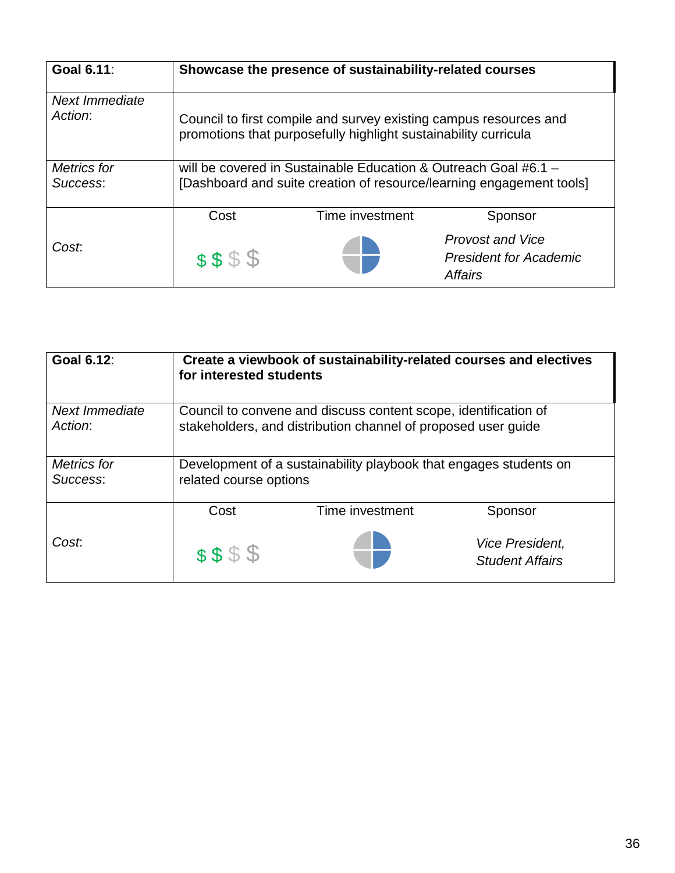| Goal 6.11:                |          | Showcase the presence of sustainability-related courses                                                                              |                                                                      |
|---------------------------|----------|--------------------------------------------------------------------------------------------------------------------------------------|----------------------------------------------------------------------|
| Next Immediate<br>Action: |          | Council to first compile and survey existing campus resources and<br>promotions that purposefully highlight sustainability curricula |                                                                      |
| Metrics for<br>Success:   |          | will be covered in Sustainable Education & Outreach Goal #6.1 $-$                                                                    | [Dashboard and suite creation of resource/learning engagement tools] |
|                           | Cost     | Time investment                                                                                                                      | Sponsor                                                              |
| Cost.                     | \$\$\$\$ |                                                                                                                                      | <b>Provost and Vice</b><br><b>President for Academic</b><br>Affairs  |

| Goal 6.12:                | for interested students                                                                                                          | Create a viewbook of sustainability-related courses and electives |                                                  |
|---------------------------|----------------------------------------------------------------------------------------------------------------------------------|-------------------------------------------------------------------|--------------------------------------------------|
| Next Immediate<br>Action: | Council to convene and discuss content scope, identification of<br>stakeholders, and distribution channel of proposed user guide |                                                                   |                                                  |
| Metrics for<br>Success:   | related course options                                                                                                           | Development of a sustainability playbook that engages students on |                                                  |
|                           | Cost                                                                                                                             | Time investment                                                   | Sponsor                                          |
| Cost.                     | \$\$\$\$                                                                                                                         |                                                                   | <b>Vice President,</b><br><b>Student Affairs</b> |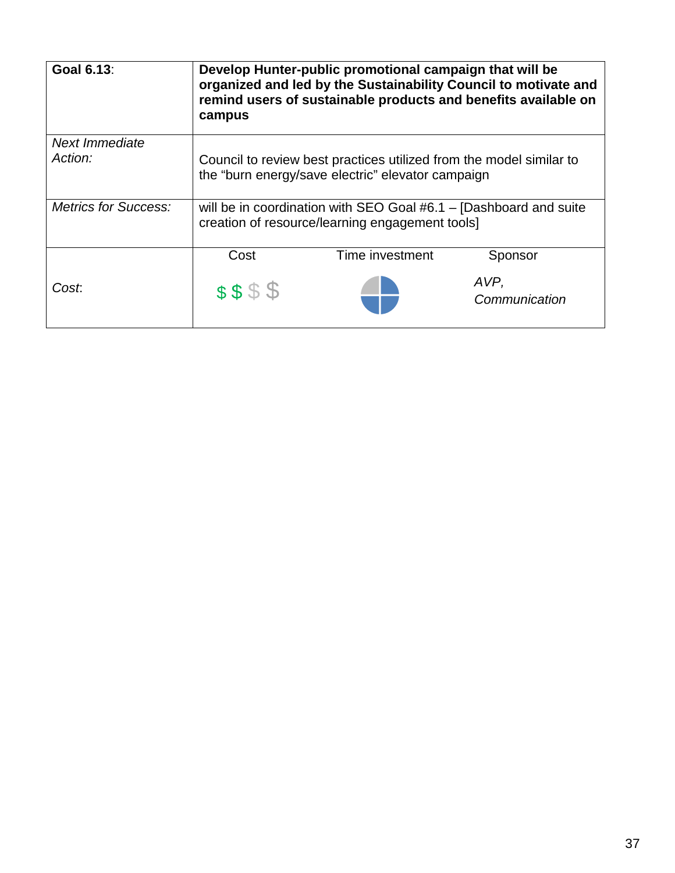| Goal 6.13:                  | Develop Hunter-public promotional campaign that will be<br>organized and led by the Sustainability Council to motivate and<br>remind users of sustainable products and benefits available on<br>campus |                 |                       |
|-----------------------------|--------------------------------------------------------------------------------------------------------------------------------------------------------------------------------------------------------|-----------------|-----------------------|
| Next Immediate              |                                                                                                                                                                                                        |                 |                       |
| Action:                     | Council to review best practices utilized from the model similar to<br>the "burn energy/save electric" elevator campaign                                                                               |                 |                       |
| <b>Metrics for Success:</b> | will be in coordination with SEO Goal #6.1 – [Dashboard and suite<br>creation of resource/learning engagement tools]                                                                                   |                 |                       |
|                             | Cost                                                                                                                                                                                                   | Time investment | Sponsor               |
| Cost.                       | \$\$\$\$                                                                                                                                                                                               |                 | AVP,<br>Communication |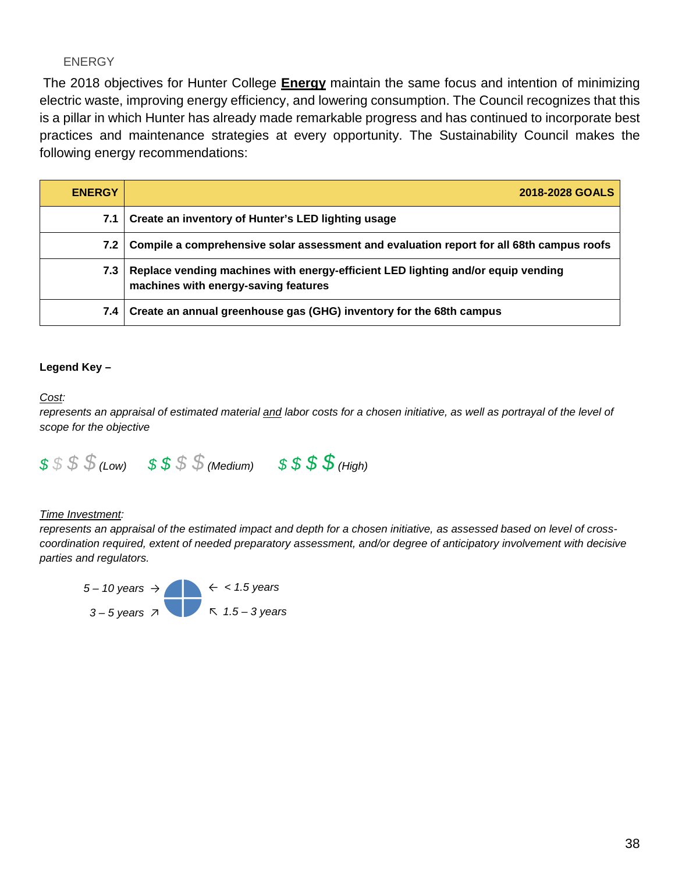#### ENERGY

The 2018 objectives for Hunter College **Energy** maintain the same focus and intention of minimizing electric waste, improving energy efficiency, and lowering consumption. The Council recognizes that this is a pillar in which Hunter has already made remarkable progress and has continued to incorporate best practices and maintenance strategies at every opportunity. The Sustainability Council makes the following energy recommendations:

| <b>ENERGY</b>    | 2018-2028 GOALS                                                                                                          |
|------------------|--------------------------------------------------------------------------------------------------------------------------|
| 7.1 <sub>1</sub> | Create an inventory of Hunter's LED lighting usage                                                                       |
| 7.2 <sub>1</sub> | Compile a comprehensive solar assessment and evaluation report for all 68th campus roofs                                 |
| 7.3 I            | Replace vending machines with energy-efficient LED lighting and/or equip vending<br>machines with energy-saving features |
| 7.4 I            | Create an annual greenhouse gas (GHG) inventory for the 68th campus                                                      |

#### **Legend Key –**

#### Cost:

Cost:<br>represents an appraisal of estimated material <u>and</u> labor costs for a chosen initiative, as well as portrayal of the level of *scope for the objective* 



#### **Time Investment:**

 *coordination required, extent of needed preparatory assessment, and/or degree of anticipatory involvement with decisive*  represents an appraisal of the estimated impact and depth for a chosen initiative, as assessed based on level of cross*parties and regulators.* 

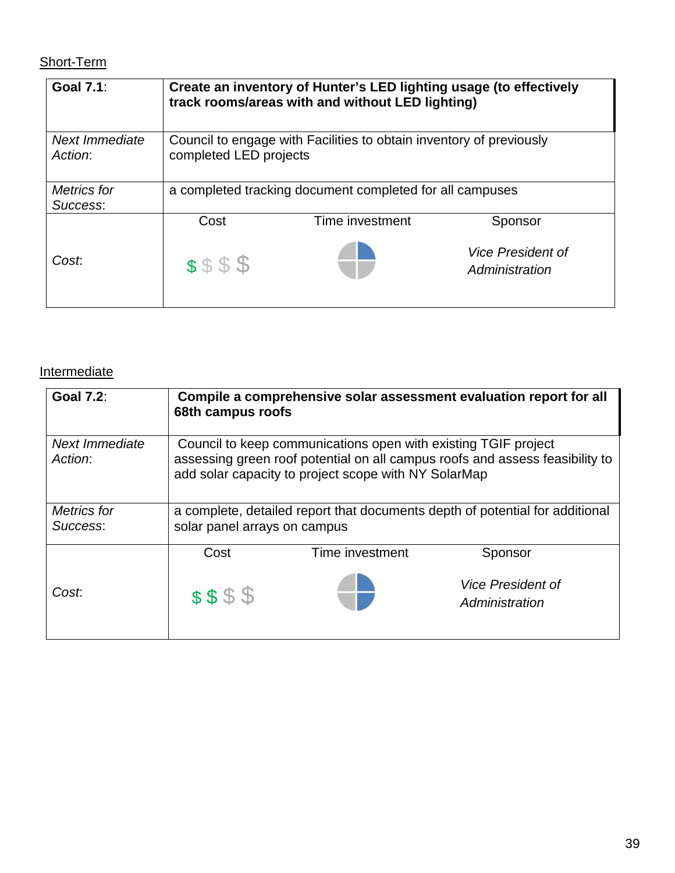# Short-Term

| <b>Goal 7.1:</b>          | Create an inventory of Hunter's LED lighting usage (to effectively<br>track rooms/areas with and without LED lighting) |                                                                     |                                            |
|---------------------------|------------------------------------------------------------------------------------------------------------------------|---------------------------------------------------------------------|--------------------------------------------|
| Next Immediate<br>Action: | completed LED projects                                                                                                 | Council to engage with Facilities to obtain inventory of previously |                                            |
| <b>Metrics</b> for        | a completed tracking document completed for all campuses                                                               |                                                                     |                                            |
| Success:                  |                                                                                                                        |                                                                     |                                            |
|                           | Cost                                                                                                                   | Time investment                                                     | Sponsor                                    |
| Cost.                     | \$\$\$\$                                                                                                               |                                                                     | <b>Vice President of</b><br>Administration |

## **Intermediate**

| <b>Goal 7.2:</b>          | Compile a comprehensive solar assessment evaluation report for all<br>68th campus roofs                      |                                                                                                                        |                                                                              |  |
|---------------------------|--------------------------------------------------------------------------------------------------------------|------------------------------------------------------------------------------------------------------------------------|------------------------------------------------------------------------------|--|
| Next Immediate<br>Action: |                                                                                                              | Council to keep communications open with existing TGIF project<br>add solar capacity to project scope with NY SolarMap | assessing green roof potential on all campus roofs and assess feasibility to |  |
| Metrics for<br>Success:   | a complete, detailed report that documents depth of potential for additional<br>solar panel arrays on campus |                                                                                                                        |                                                                              |  |
|                           | Cost                                                                                                         | Time investment                                                                                                        | Sponsor                                                                      |  |
| Cost.                     | \$\$\$\$                                                                                                     |                                                                                                                        | <b>Vice President of</b><br>Administration                                   |  |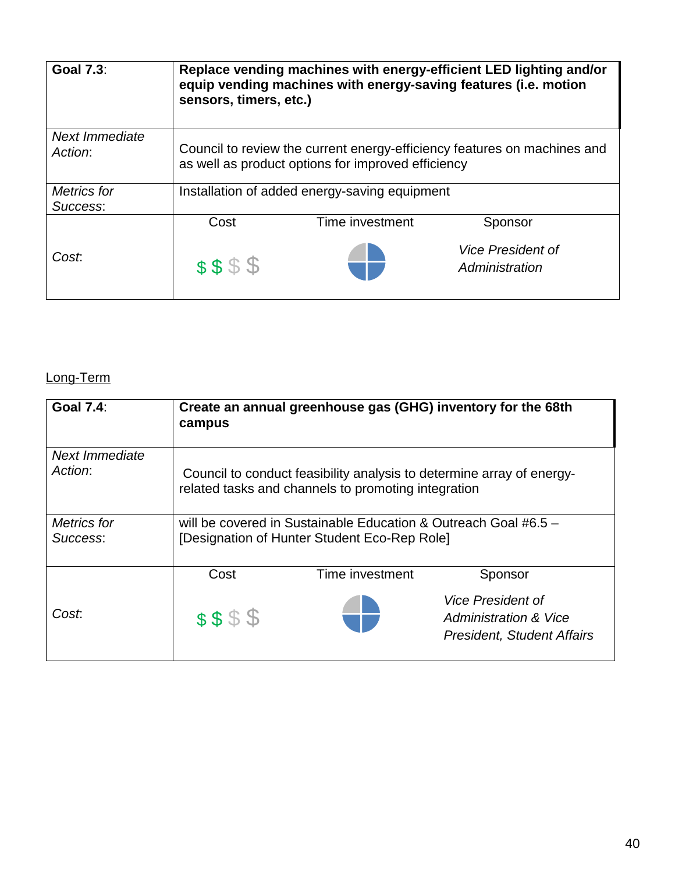| <b>Goal 7.3:</b>          | Replace vending machines with energy-efficient LED lighting and/or<br>equip vending machines with energy-saving features (i.e. motion<br>sensors, timers, etc.) |                                               |                                            |  |
|---------------------------|-----------------------------------------------------------------------------------------------------------------------------------------------------------------|-----------------------------------------------|--------------------------------------------|--|
| Next Immediate<br>Action: | Council to review the current energy-efficiency features on machines and<br>as well as product options for improved efficiency                                  |                                               |                                            |  |
| Metrics for<br>Success:   |                                                                                                                                                                 | Installation of added energy-saving equipment |                                            |  |
|                           | Cost                                                                                                                                                            | Time investment                               | Sponsor                                    |  |
| Cost.                     | \$\$\$\$                                                                                                                                                        |                                               | <b>Vice President of</b><br>Administration |  |

# Long-Term

| <b>Goal 7.4:</b>               | campus                                                                                                                       |                 | Create an annual greenhouse gas (GHG) inventory for the 68th                           |  |
|--------------------------------|------------------------------------------------------------------------------------------------------------------------------|-----------------|----------------------------------------------------------------------------------------|--|
| Next Immediate<br>Action:      | Council to conduct feasibility analysis to determine array of energy-<br>related tasks and channels to promoting integration |                 |                                                                                        |  |
| <b>Metrics</b> for<br>Success: | will be covered in Sustainable Education & Outreach Goal #6.5 -<br>[Designation of Hunter Student Eco-Rep Role]              |                 |                                                                                        |  |
|                                | Cost                                                                                                                         | Time investment | Sponsor                                                                                |  |
| Cost:                          | \$\$\$\$                                                                                                                     |                 | <b>Vice President of</b><br>Administration & Vice<br><b>President, Student Affairs</b> |  |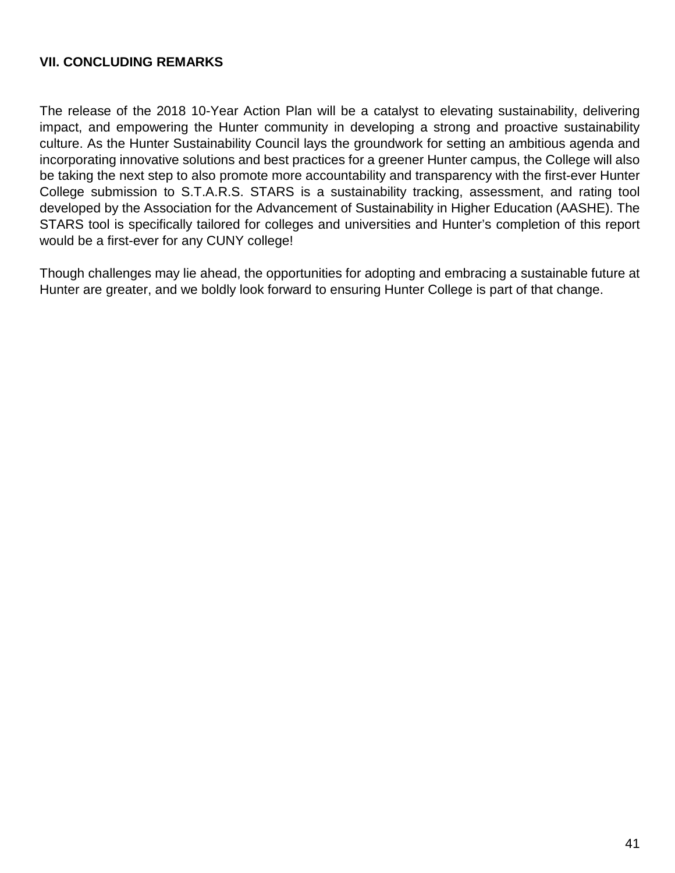## **VII. CONCLUDING REMARKS**

 culture. As the Hunter Sustainability Council lays the groundwork for setting an ambitious agenda and incorporating innovative solutions and best practices for a greener Hunter campus, the College will also be taking the next step to also promote more accountability and transparency with the first-ever Hunter developed by the Association for the Advancement of Sustainability in Higher Education (AASHE). The The release of the 2018 10-Year Action Plan will be a catalyst to elevating sustainability, delivering impact, and empowering the Hunter community in developing a strong and proactive sustainability College submission to S.T.A.R.S. STARS is a sustainability tracking, assessment, and rating tool STARS tool is specifically tailored for colleges and universities and Hunter's completion of this report would be a first-ever for any CUNY college!

 Hunter are greater, and we boldly look forward to ensuring Hunter College is part of that change. Though challenges may lie ahead, the opportunities for adopting and embracing a sustainable future at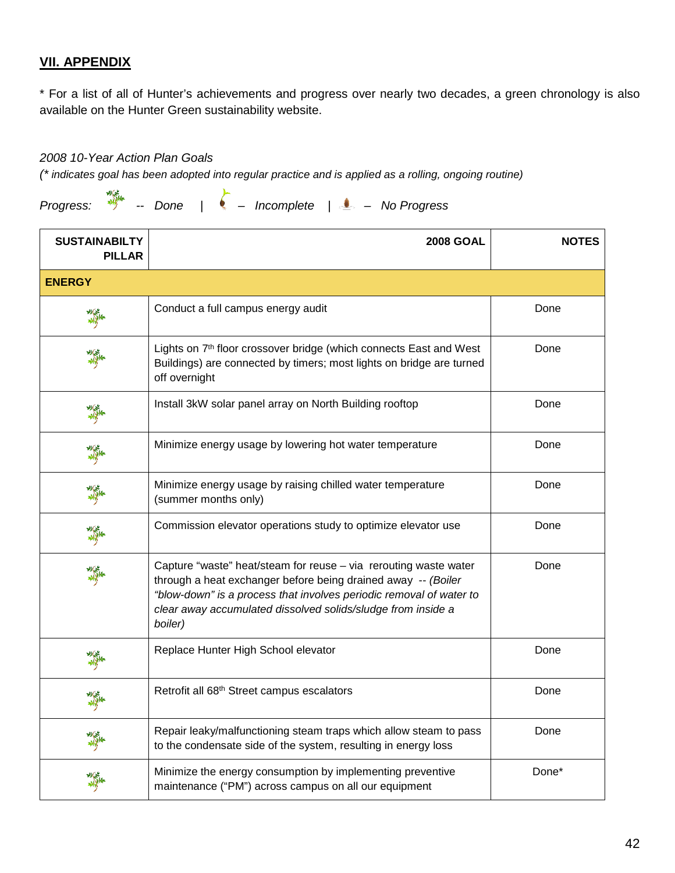## **VII. APPENDIX**

 \* For a list of all of Hunter's achievements and progress over nearly two decades, a green chronology is also available on the Hunter Green sustainability website.

*2008 10-Year Action Plan Goals* 

 *(\* indicates goal has been adopted into regular practice and is applied as a rolling, ongoing routine)* 

 *Progress: -- Done | – Incomplete | – No Progress* 

| <b>SUSTAINABILTY</b><br><b>PILLAR</b> | <b>2008 GOAL</b>                                                                                                                                                                                                                                                                    | <b>NOTES</b> |
|---------------------------------------|-------------------------------------------------------------------------------------------------------------------------------------------------------------------------------------------------------------------------------------------------------------------------------------|--------------|
| <b>ENERGY</b>                         |                                                                                                                                                                                                                                                                                     |              |
| 美                                     | Conduct a full campus energy audit                                                                                                                                                                                                                                                  | Done         |
|                                       | Lights on 7 <sup>th</sup> floor crossover bridge (which connects East and West<br>Buildings) are connected by timers; most lights on bridge are turned<br>off overnight                                                                                                             | Done         |
| 瓣                                     | Install 3kW solar panel array on North Building rooftop                                                                                                                                                                                                                             | Done         |
| 瓣                                     | Minimize energy usage by lowering hot water temperature                                                                                                                                                                                                                             | Done         |
|                                       | Minimize energy usage by raising chilled water temperature<br>(summer months only)                                                                                                                                                                                                  | Done         |
| 編                                     | Commission elevator operations study to optimize elevator use                                                                                                                                                                                                                       | Done         |
| 編                                     | Capture "waste" heat/steam for reuse - via rerouting waste water<br>through a heat exchanger before being drained away -- (Boiler<br>"blow-down" is a process that involves periodic removal of water to<br>clear away accumulated dissolved solids/sludge from inside a<br>boiler) | Done         |
| 美食                                    | Replace Hunter High School elevator                                                                                                                                                                                                                                                 | Done         |
| 美军                                    | Retrofit all 68 <sup>th</sup> Street campus escalators                                                                                                                                                                                                                              | Done         |
| 瓣                                     | Repair leaky/malfunctioning steam traps which allow steam to pass<br>to the condensate side of the system, resulting in energy loss                                                                                                                                                 | Done         |
|                                       | Minimize the energy consumption by implementing preventive<br>maintenance ("PM") across campus on all our equipment                                                                                                                                                                 | Done*        |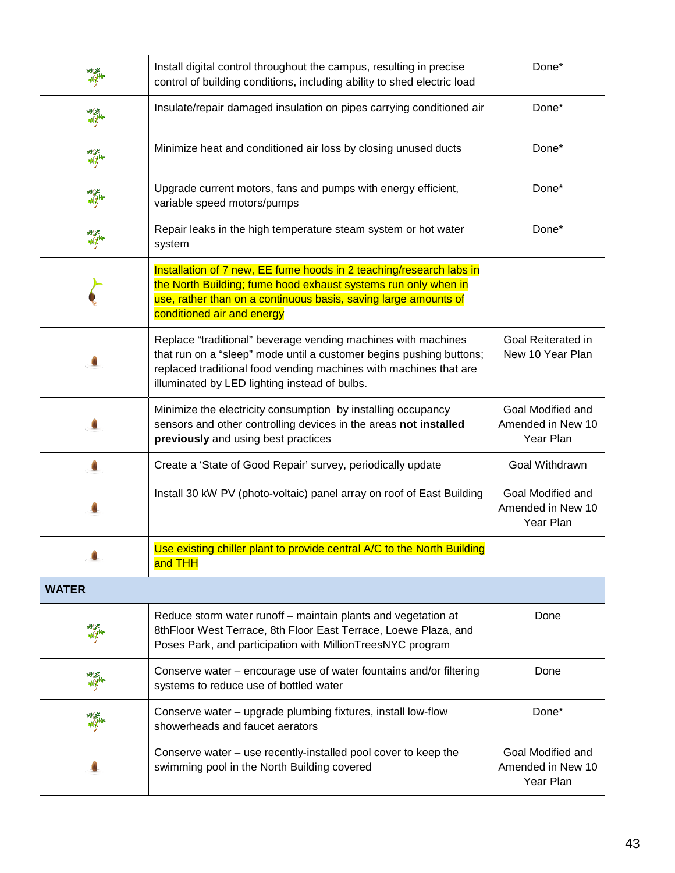|              | Install digital control throughout the campus, resulting in precise<br>control of building conditions, including ability to shed electric load                                                                                                             | Done*                                               |
|--------------|------------------------------------------------------------------------------------------------------------------------------------------------------------------------------------------------------------------------------------------------------------|-----------------------------------------------------|
| 美学           | Insulate/repair damaged insulation on pipes carrying conditioned air                                                                                                                                                                                       | Done*                                               |
| 編            | Minimize heat and conditioned air loss by closing unused ducts                                                                                                                                                                                             | Done*                                               |
|              | Upgrade current motors, fans and pumps with energy efficient,<br>variable speed motors/pumps                                                                                                                                                               | Done*                                               |
|              | Repair leaks in the high temperature steam system or hot water<br>system                                                                                                                                                                                   | Done*                                               |
|              | Installation of 7 new, EE fume hoods in 2 teaching/research labs in<br>the North Building; fume hood exhaust systems run only when in<br>use, rather than on a continuous basis, saving large amounts of<br>conditioned air and energy                     |                                                     |
|              | Replace "traditional" beverage vending machines with machines<br>that run on a "sleep" mode until a customer begins pushing buttons;<br>replaced traditional food vending machines with machines that are<br>illuminated by LED lighting instead of bulbs. | Goal Reiterated in<br>New 10 Year Plan              |
|              | Minimize the electricity consumption by installing occupancy<br>sensors and other controlling devices in the areas not installed<br>previously and using best practices                                                                                    | Goal Modified and<br>Amended in New 10<br>Year Plan |
|              | Create a 'State of Good Repair' survey, periodically update                                                                                                                                                                                                | Goal Withdrawn                                      |
|              | Install 30 kW PV (photo-voltaic) panel array on roof of East Building                                                                                                                                                                                      | Goal Modified and<br>Amended in New 10<br>Year Plan |
|              | Use existing chiller plant to provide central A/C to the North Building<br>and THH                                                                                                                                                                         |                                                     |
| <b>WATER</b> |                                                                                                                                                                                                                                                            |                                                     |
|              | Reduce storm water runoff - maintain plants and vegetation at<br>8thFloor West Terrace, 8th Floor East Terrace, Loewe Plaza, and<br>Poses Park, and participation with MillionTreesNYC program                                                             | Done                                                |
|              | Conserve water – encourage use of water fountains and/or filtering<br>systems to reduce use of bottled water                                                                                                                                               | Done                                                |
|              | Conserve water - upgrade plumbing fixtures, install low-flow<br>showerheads and faucet aerators                                                                                                                                                            | Done*                                               |
|              | Conserve water – use recently-installed pool cover to keep the<br>swimming pool in the North Building covered                                                                                                                                              | Goal Modified and<br>Amended in New 10<br>Year Plan |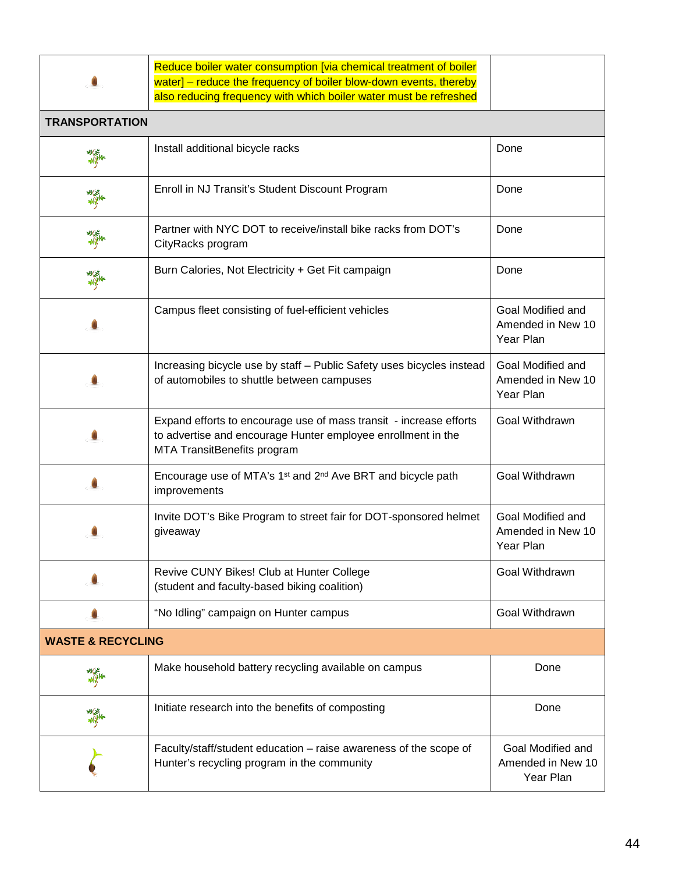Reduce boiler water consumption [via chemical treatment of boiler water] - reduce the frequency of boiler blow-down events, thereby also reducing frequency with which boiler water must be refreshed

| <b>TRANSPORTATION</b>        |                                                                                                                                                                   |                                                     |
|------------------------------|-------------------------------------------------------------------------------------------------------------------------------------------------------------------|-----------------------------------------------------|
| 纂                            | Install additional bicycle racks                                                                                                                                  | Done                                                |
| 籌                            | Enroll in NJ Transit's Student Discount Program                                                                                                                   | Done                                                |
| 瓣                            | Partner with NYC DOT to receive/install bike racks from DOT's<br>CityRacks program                                                                                | Done                                                |
| 纂                            | Burn Calories, Not Electricity + Get Fit campaign                                                                                                                 | Done                                                |
|                              | Campus fleet consisting of fuel-efficient vehicles                                                                                                                | Goal Modified and<br>Amended in New 10<br>Year Plan |
|                              | Increasing bicycle use by staff - Public Safety uses bicycles instead<br>of automobiles to shuttle between campuses                                               | Goal Modified and<br>Amended in New 10<br>Year Plan |
|                              | Expand efforts to encourage use of mass transit - increase efforts<br>to advertise and encourage Hunter employee enrollment in the<br>MTA TransitBenefits program | Goal Withdrawn                                      |
|                              | Encourage use of MTA's 1 <sup>st</sup> and 2 <sup>nd</sup> Ave BRT and bicycle path<br>improvements                                                               | Goal Withdrawn                                      |
|                              | Invite DOT's Bike Program to street fair for DOT-sponsored helmet<br>giveaway                                                                                     | Goal Modified and<br>Amended in New 10<br>Year Plan |
|                              | Revive CUNY Bikes! Club at Hunter College<br>(student and faculty-based biking coalition)                                                                         | Goal Withdrawn                                      |
|                              | 'No Idling" campaign on Hunter campus                                                                                                                             | Goal Withdrawn                                      |
| <b>WASTE &amp; RECYCLING</b> |                                                                                                                                                                   |                                                     |
| 美军                           | Make household battery recycling available on campus                                                                                                              | Done                                                |
| 瓣                            | Initiate research into the benefits of composting                                                                                                                 | Done                                                |
|                              | Faculty/staff/student education - raise awareness of the scope of<br>Hunter's recycling program in the community                                                  | Goal Modified and<br>Amended in New 10<br>Year Plan |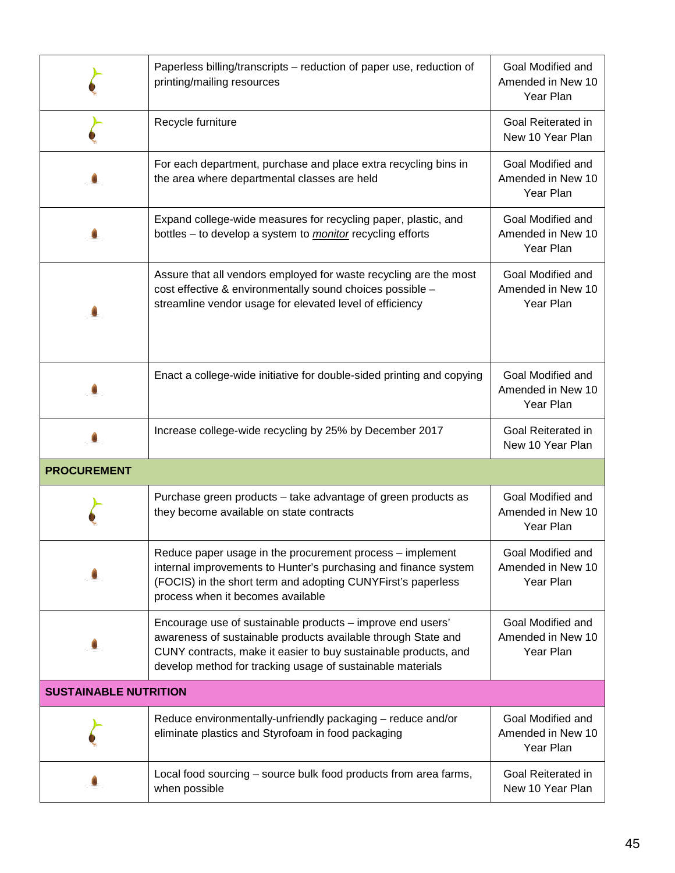|                              | Paperless billing/transcripts – reduction of paper use, reduction of<br>printing/mailing resources                                                                                                                                                           | Goal Modified and<br>Amended in New 10<br>Year Plan |
|------------------------------|--------------------------------------------------------------------------------------------------------------------------------------------------------------------------------------------------------------------------------------------------------------|-----------------------------------------------------|
|                              | Recycle furniture                                                                                                                                                                                                                                            | Goal Reiterated in<br>New 10 Year Plan              |
|                              | For each department, purchase and place extra recycling bins in<br>the area where departmental classes are held                                                                                                                                              | Goal Modified and<br>Amended in New 10<br>Year Plan |
|                              | Expand college-wide measures for recycling paper, plastic, and<br>bottles - to develop a system to <i>monitor</i> recycling efforts                                                                                                                          | Goal Modified and<br>Amended in New 10<br>Year Plan |
|                              | Assure that all vendors employed for waste recycling are the most<br>cost effective & environmentally sound choices possible -<br>streamline vendor usage for elevated level of efficiency                                                                   | Goal Modified and<br>Amended in New 10<br>Year Plan |
|                              | Enact a college-wide initiative for double-sided printing and copying                                                                                                                                                                                        | Goal Modified and<br>Amended in New 10<br>Year Plan |
|                              | Increase college-wide recycling by 25% by December 2017                                                                                                                                                                                                      | Goal Reiterated in<br>New 10 Year Plan              |
| <b>PROCUREMENT</b>           |                                                                                                                                                                                                                                                              |                                                     |
|                              | Purchase green products – take advantage of green products as<br>they become available on state contracts                                                                                                                                                    | Goal Modified and<br>Amended in New 10<br>Year Plan |
|                              | Reduce paper usage in the procurement process – implement<br>internal improvements to Hunter's purchasing and finance system<br>(FOCIS) in the short term and adopting CUNYFirst's paperless<br>process when it becomes available                            | Goal Modified and<br>Amended in New 10<br>Year Plan |
|                              | Encourage use of sustainable products - improve end users'<br>awareness of sustainable products available through State and<br>CUNY contracts, make it easier to buy sustainable products, and<br>develop method for tracking usage of sustainable materials | Goal Modified and<br>Amended in New 10<br>Year Plan |
| <b>SUSTAINABLE NUTRITION</b> |                                                                                                                                                                                                                                                              |                                                     |
|                              | Reduce environmentally-unfriendly packaging - reduce and/or<br>eliminate plastics and Styrofoam in food packaging                                                                                                                                            | Goal Modified and<br>Amended in New 10<br>Year Plan |
|                              | Local food sourcing - source bulk food products from area farms,<br>when possible                                                                                                                                                                            | Goal Reiterated in<br>New 10 Year Plan              |